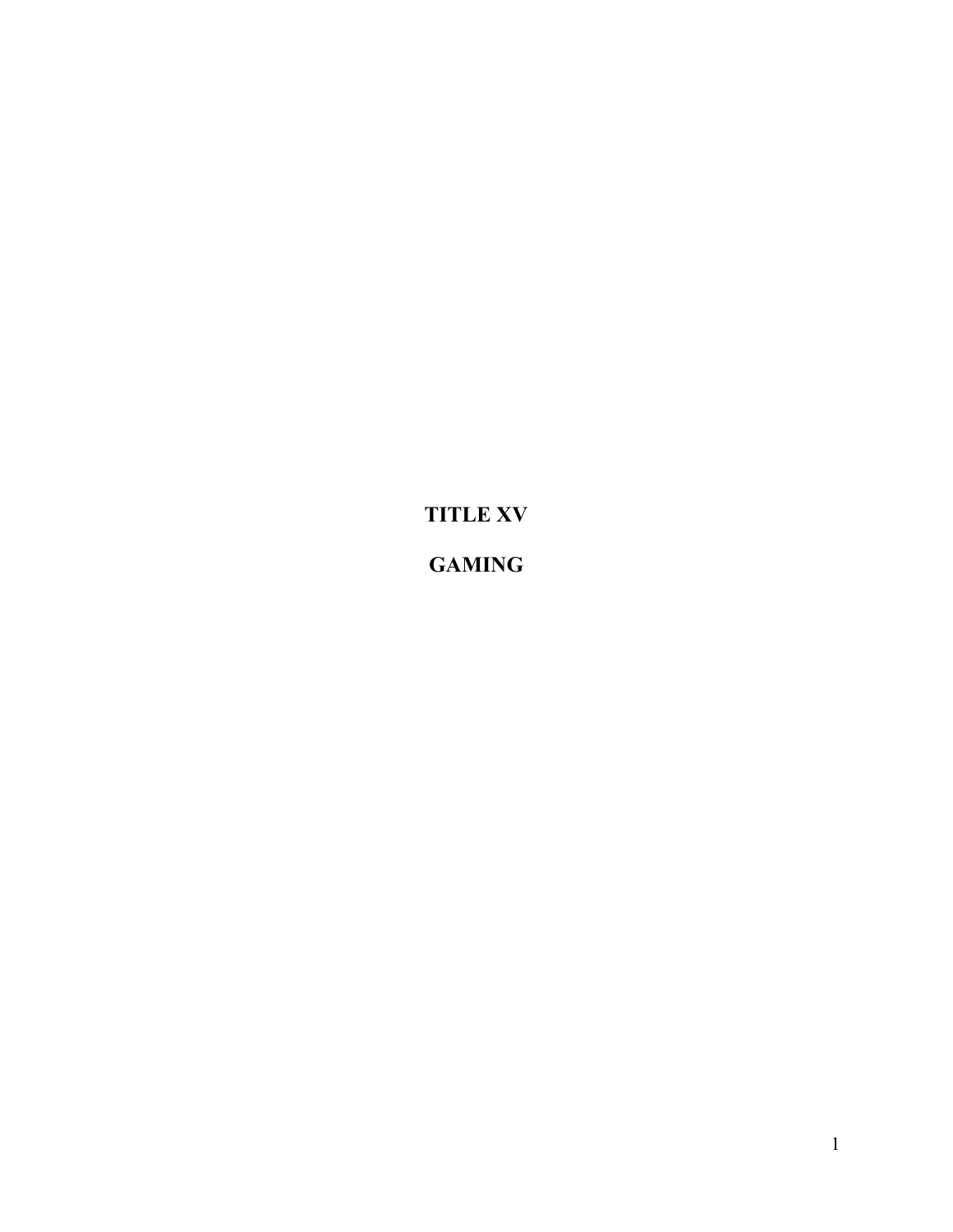TITLE XV **GAMING**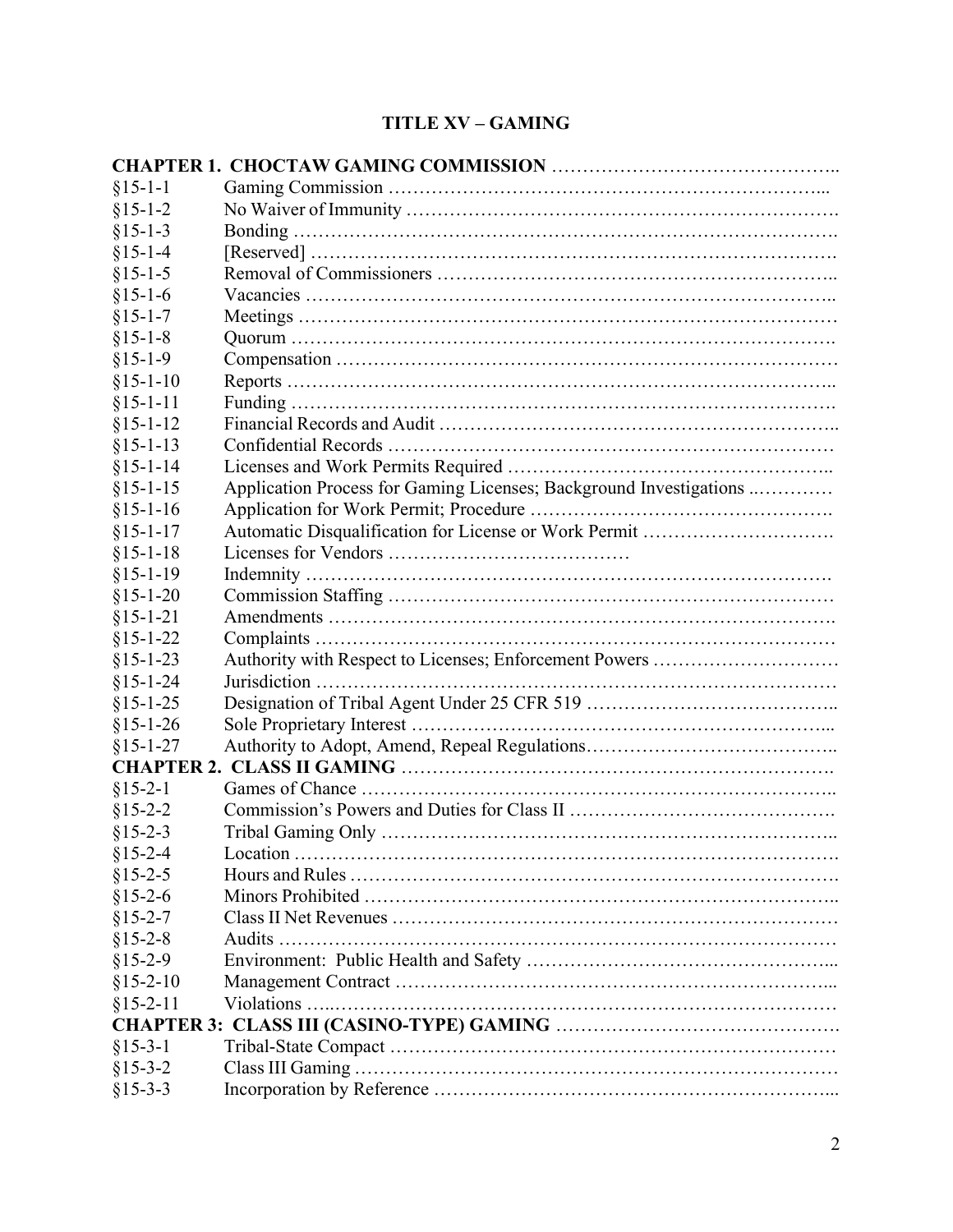# TITLE XV – GAMING

| $§15-1-1$      |                                                                    |
|----------------|--------------------------------------------------------------------|
| $§15-1-2$      |                                                                    |
| $§15-1-3$      |                                                                    |
| $§15-1-4$      |                                                                    |
| $§15-1-5$      |                                                                    |
| $§15-1-6$      |                                                                    |
| $§15-1-7$      |                                                                    |
| $§15-1-8$      |                                                                    |
| $§15-1-9$      |                                                                    |
| $§15-1-10$     |                                                                    |
| $§15 - 1 - 11$ |                                                                    |
| $§15 - 1 - 12$ |                                                                    |
| $§15 - 1 - 13$ |                                                                    |
| $§15 - 1 - 14$ |                                                                    |
| $§15 - 1 - 15$ | Application Process for Gaming Licenses; Background Investigations |
| $§15 - 1 - 16$ |                                                                    |
| $§15 - 1 - 17$ |                                                                    |
| $§15 - 1 - 18$ |                                                                    |
| $§15-1-19$     |                                                                    |
| $§15-1-20$     |                                                                    |
| $§15 - 1 - 21$ |                                                                    |
| $§15 - 1 - 22$ |                                                                    |
| $§15 - 1 - 23$ | Authority with Respect to Licenses; Enforcement Powers             |
| $§15 - 1 - 24$ |                                                                    |
| $§15 - 1 - 25$ |                                                                    |
| $§15 - 1 - 26$ |                                                                    |
| $§15 - 1 - 27$ |                                                                    |
|                |                                                                    |
| $§15-2-1$      |                                                                    |
| $§15 - 2 - 2$  |                                                                    |
| $§15 - 2 - 3$  |                                                                    |
| $§15 - 2 - 4$  |                                                                    |
| $§15 - 2 - 5$  |                                                                    |
| $$15-2-6$      |                                                                    |
| $§15 - 2 - 7$  |                                                                    |
| $§15 - 2 - 8$  |                                                                    |
| $§15-2-9$      |                                                                    |
| $$15-2-10$     |                                                                    |
| $§15 - 2 - 11$ |                                                                    |
|                |                                                                    |
| $§15-3-1$      |                                                                    |
| $§15-3-2$      |                                                                    |
| $§15-3-3$      |                                                                    |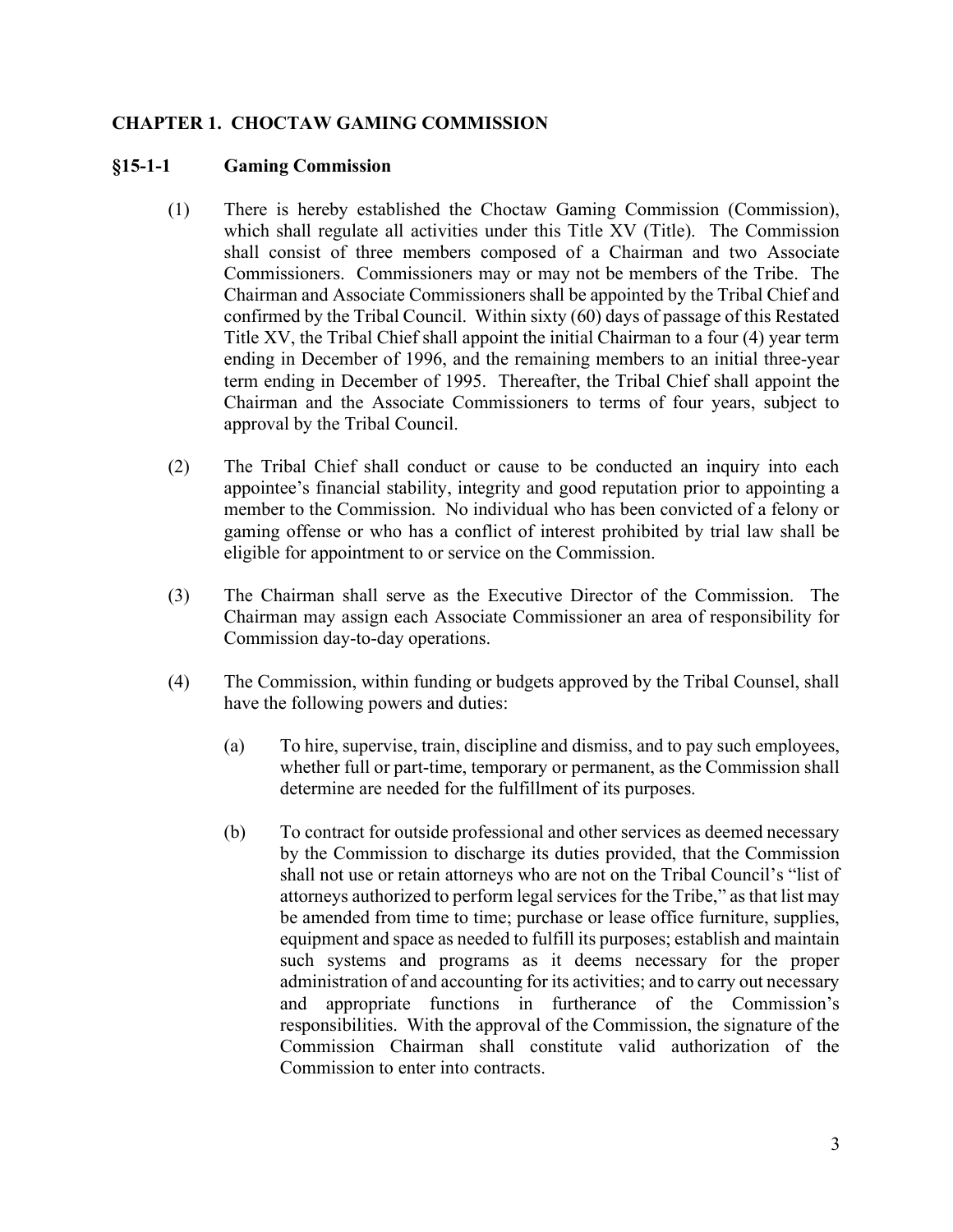### CHAPTER 1. CHOCTAW GAMING COMMISSION

#### §15-1-1 Gaming Commission

- (1) There is hereby established the Choctaw Gaming Commission (Commission), which shall regulate all activities under this Title XV (Title). The Commission shall consist of three members composed of a Chairman and two Associate Commissioners. Commissioners may or may not be members of the Tribe. The Chairman and Associate Commissioners shall be appointed by the Tribal Chief and confirmed by the Tribal Council. Within sixty (60) days of passage of this Restated Title XV, the Tribal Chief shall appoint the initial Chairman to a four (4) year term ending in December of 1996, and the remaining members to an initial three-year term ending in December of 1995. Thereafter, the Tribal Chief shall appoint the Chairman and the Associate Commissioners to terms of four years, subject to approval by the Tribal Council.
- (2) The Tribal Chief shall conduct or cause to be conducted an inquiry into each appointee's financial stability, integrity and good reputation prior to appointing a member to the Commission. No individual who has been convicted of a felony or gaming offense or who has a conflict of interest prohibited by trial law shall be eligible for appointment to or service on the Commission.
- (3) The Chairman shall serve as the Executive Director of the Commission. The Chairman may assign each Associate Commissioner an area of responsibility for Commission day-to-day operations.
- (4) The Commission, within funding or budgets approved by the Tribal Counsel, shall have the following powers and duties:
	- (a) To hire, supervise, train, discipline and dismiss, and to pay such employees, whether full or part-time, temporary or permanent, as the Commission shall determine are needed for the fulfillment of its purposes.
	- (b) To contract for outside professional and other services as deemed necessary by the Commission to discharge its duties provided, that the Commission shall not use or retain attorneys who are not on the Tribal Council's "list of attorneys authorized to perform legal services for the Tribe," as that list may be amended from time to time; purchase or lease office furniture, supplies, equipment and space as needed to fulfill its purposes; establish and maintain such systems and programs as it deems necessary for the proper administration of and accounting for its activities; and to carry out necessary and appropriate functions in furtherance of the Commission's responsibilities. With the approval of the Commission, the signature of the Commission Chairman shall constitute valid authorization of the Commission to enter into contracts.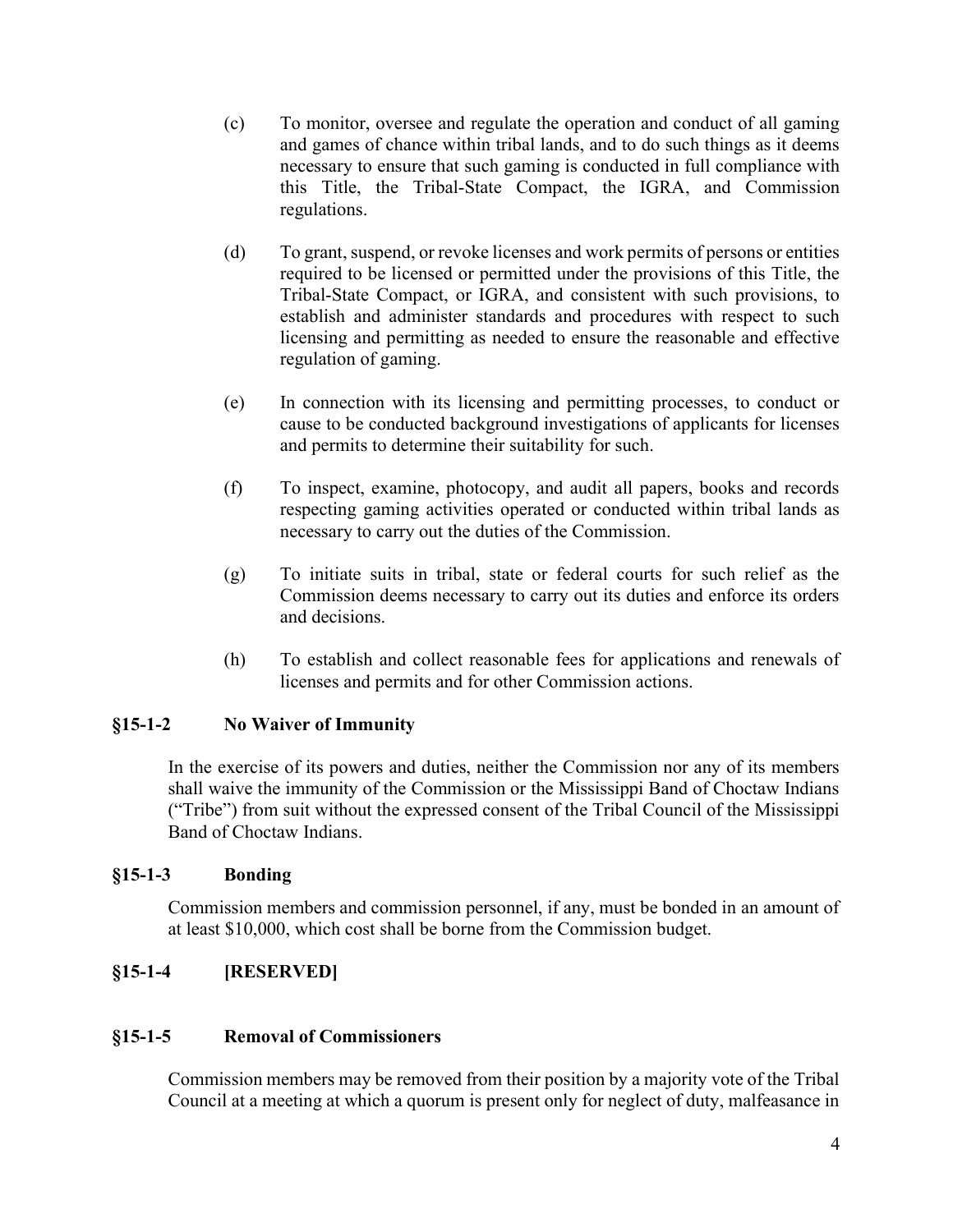- (c) To monitor, oversee and regulate the operation and conduct of all gaming and games of chance within tribal lands, and to do such things as it deems necessary to ensure that such gaming is conducted in full compliance with this Title, the Tribal-State Compact, the IGRA, and Commission regulations.
- (d) To grant, suspend, or revoke licenses and work permits of persons or entities required to be licensed or permitted under the provisions of this Title, the Tribal-State Compact, or IGRA, and consistent with such provisions, to establish and administer standards and procedures with respect to such licensing and permitting as needed to ensure the reasonable and effective regulation of gaming.
- (e) In connection with its licensing and permitting processes, to conduct or cause to be conducted background investigations of applicants for licenses and permits to determine their suitability for such.
- (f) To inspect, examine, photocopy, and audit all papers, books and records respecting gaming activities operated or conducted within tribal lands as necessary to carry out the duties of the Commission.
- (g) To initiate suits in tribal, state or federal courts for such relief as the Commission deems necessary to carry out its duties and enforce its orders and decisions.
- (h) To establish and collect reasonable fees for applications and renewals of licenses and permits and for other Commission actions.

### §15-1-2 No Waiver of Immunity

 In the exercise of its powers and duties, neither the Commission nor any of its members shall waive the immunity of the Commission or the Mississippi Band of Choctaw Indians ("Tribe") from suit without the expressed consent of the Tribal Council of the Mississippi Band of Choctaw Indians.

### §15-1-3 Bonding

Commission members and commission personnel, if any, must be bonded in an amount of at least \$10,000, which cost shall be borne from the Commission budget.

### §15-1-4 [RESERVED]

#### §15-1-5 Removal of Commissioners

 Commission members may be removed from their position by a majority vote of the Tribal Council at a meeting at which a quorum is present only for neglect of duty, malfeasance in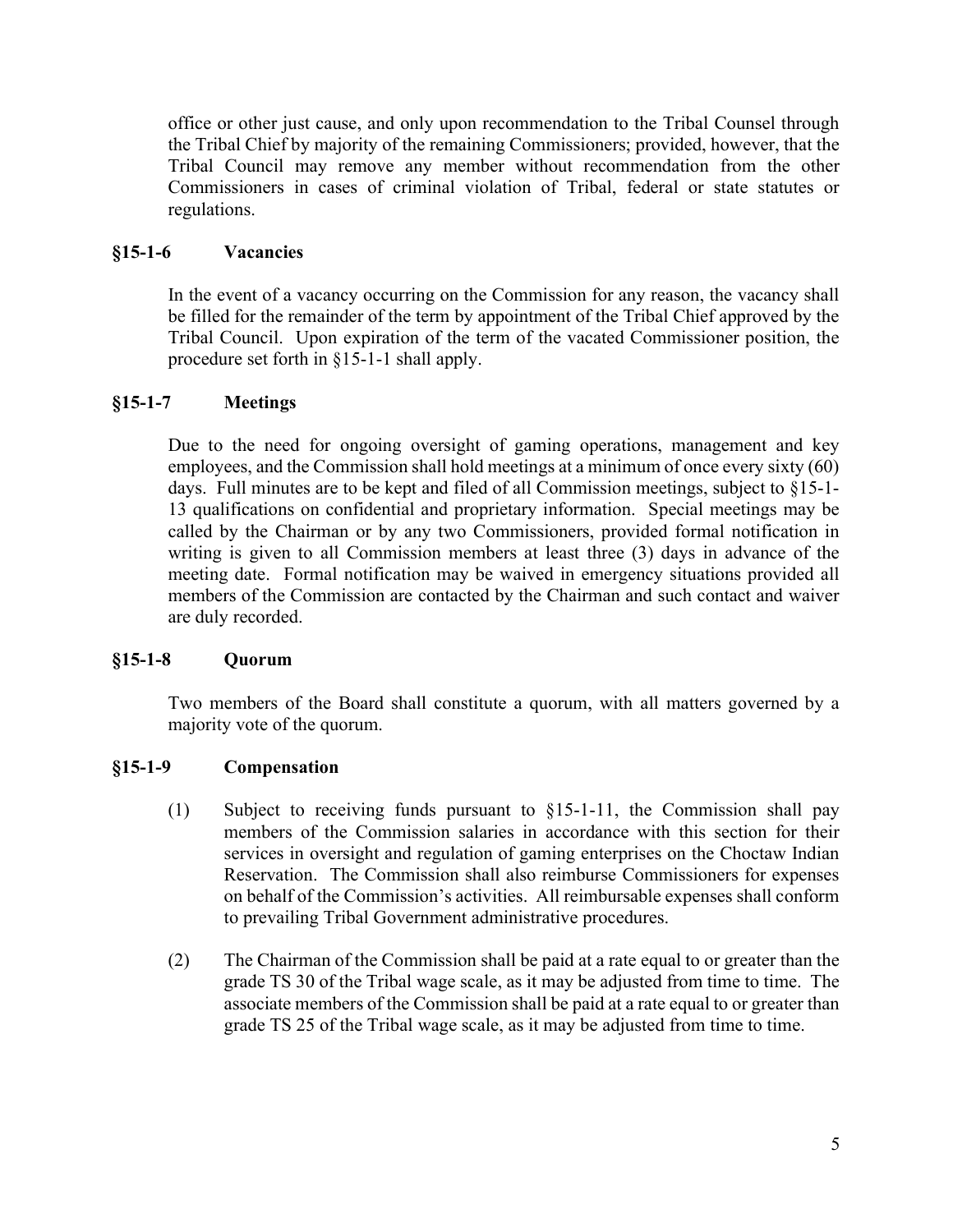office or other just cause, and only upon recommendation to the Tribal Counsel through the Tribal Chief by majority of the remaining Commissioners; provided, however, that the Tribal Council may remove any member without recommendation from the other Commissioners in cases of criminal violation of Tribal, federal or state statutes or regulations.

### §15-1-6 Vacancies

 In the event of a vacancy occurring on the Commission for any reason, the vacancy shall be filled for the remainder of the term by appointment of the Tribal Chief approved by the Tribal Council. Upon expiration of the term of the vacated Commissioner position, the procedure set forth in §15-1-1 shall apply.

## §15-1-7 Meetings

Due to the need for ongoing oversight of gaming operations, management and key employees, and the Commission shall hold meetings at a minimum of once every sixty (60) days. Full minutes are to be kept and filed of all Commission meetings, subject to §15-1- 13 qualifications on confidential and proprietary information. Special meetings may be called by the Chairman or by any two Commissioners, provided formal notification in writing is given to all Commission members at least three (3) days in advance of the meeting date. Formal notification may be waived in emergency situations provided all members of the Commission are contacted by the Chairman and such contact and waiver are duly recorded.

### §15-1-8 Quorum

 Two members of the Board shall constitute a quorum, with all matters governed by a majority vote of the quorum.

### §15-1-9 Compensation

- (1) Subject to receiving funds pursuant to §15-1-11, the Commission shall pay members of the Commission salaries in accordance with this section for their services in oversight and regulation of gaming enterprises on the Choctaw Indian Reservation. The Commission shall also reimburse Commissioners for expenses on behalf of the Commission's activities. All reimbursable expenses shall conform to prevailing Tribal Government administrative procedures.
- (2) The Chairman of the Commission shall be paid at a rate equal to or greater than the grade TS 30 of the Tribal wage scale, as it may be adjusted from time to time. The associate members of the Commission shall be paid at a rate equal to or greater than grade TS 25 of the Tribal wage scale, as it may be adjusted from time to time.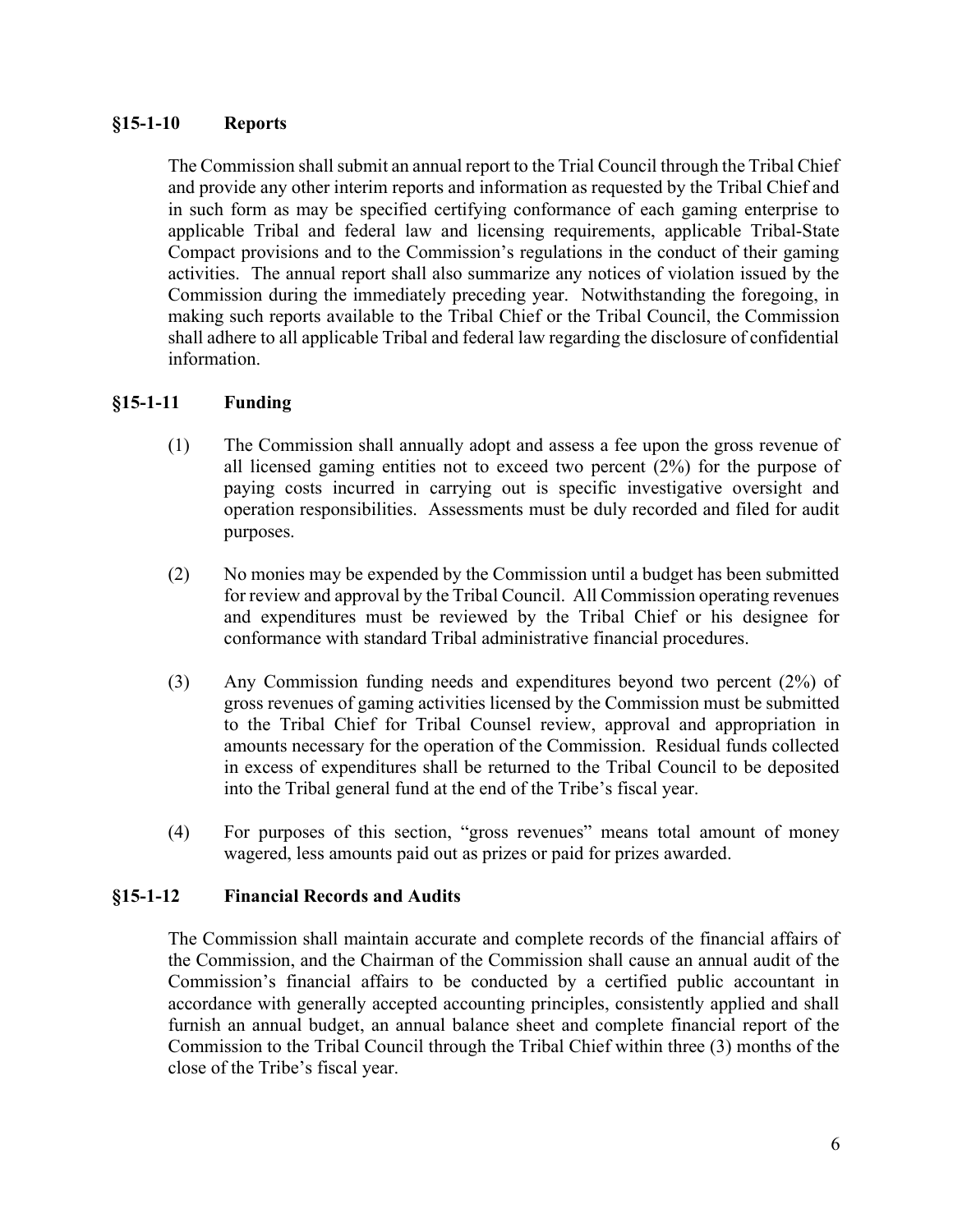#### §15-1-10 Reports

The Commission shall submit an annual report to the Trial Council through the Tribal Chief and provide any other interim reports and information as requested by the Tribal Chief and in such form as may be specified certifying conformance of each gaming enterprise to applicable Tribal and federal law and licensing requirements, applicable Tribal-State Compact provisions and to the Commission's regulations in the conduct of their gaming activities. The annual report shall also summarize any notices of violation issued by the Commission during the immediately preceding year. Notwithstanding the foregoing, in making such reports available to the Tribal Chief or the Tribal Council, the Commission shall adhere to all applicable Tribal and federal law regarding the disclosure of confidential information.

#### §15-1-11 Funding

- (1) The Commission shall annually adopt and assess a fee upon the gross revenue of all licensed gaming entities not to exceed two percent (2%) for the purpose of paying costs incurred in carrying out is specific investigative oversight and operation responsibilities. Assessments must be duly recorded and filed for audit purposes.
- (2) No monies may be expended by the Commission until a budget has been submitted for review and approval by the Tribal Council. All Commission operating revenues and expenditures must be reviewed by the Tribal Chief or his designee for conformance with standard Tribal administrative financial procedures.
- (3) Any Commission funding needs and expenditures beyond two percent (2%) of gross revenues of gaming activities licensed by the Commission must be submitted to the Tribal Chief for Tribal Counsel review, approval and appropriation in amounts necessary for the operation of the Commission. Residual funds collected in excess of expenditures shall be returned to the Tribal Council to be deposited into the Tribal general fund at the end of the Tribe's fiscal year.
- (4) For purposes of this section, "gross revenues" means total amount of money wagered, less amounts paid out as prizes or paid for prizes awarded.

#### §15-1-12 Financial Records and Audits

 The Commission shall maintain accurate and complete records of the financial affairs of the Commission, and the Chairman of the Commission shall cause an annual audit of the Commission's financial affairs to be conducted by a certified public accountant in accordance with generally accepted accounting principles, consistently applied and shall furnish an annual budget, an annual balance sheet and complete financial report of the Commission to the Tribal Council through the Tribal Chief within three (3) months of the close of the Tribe's fiscal year.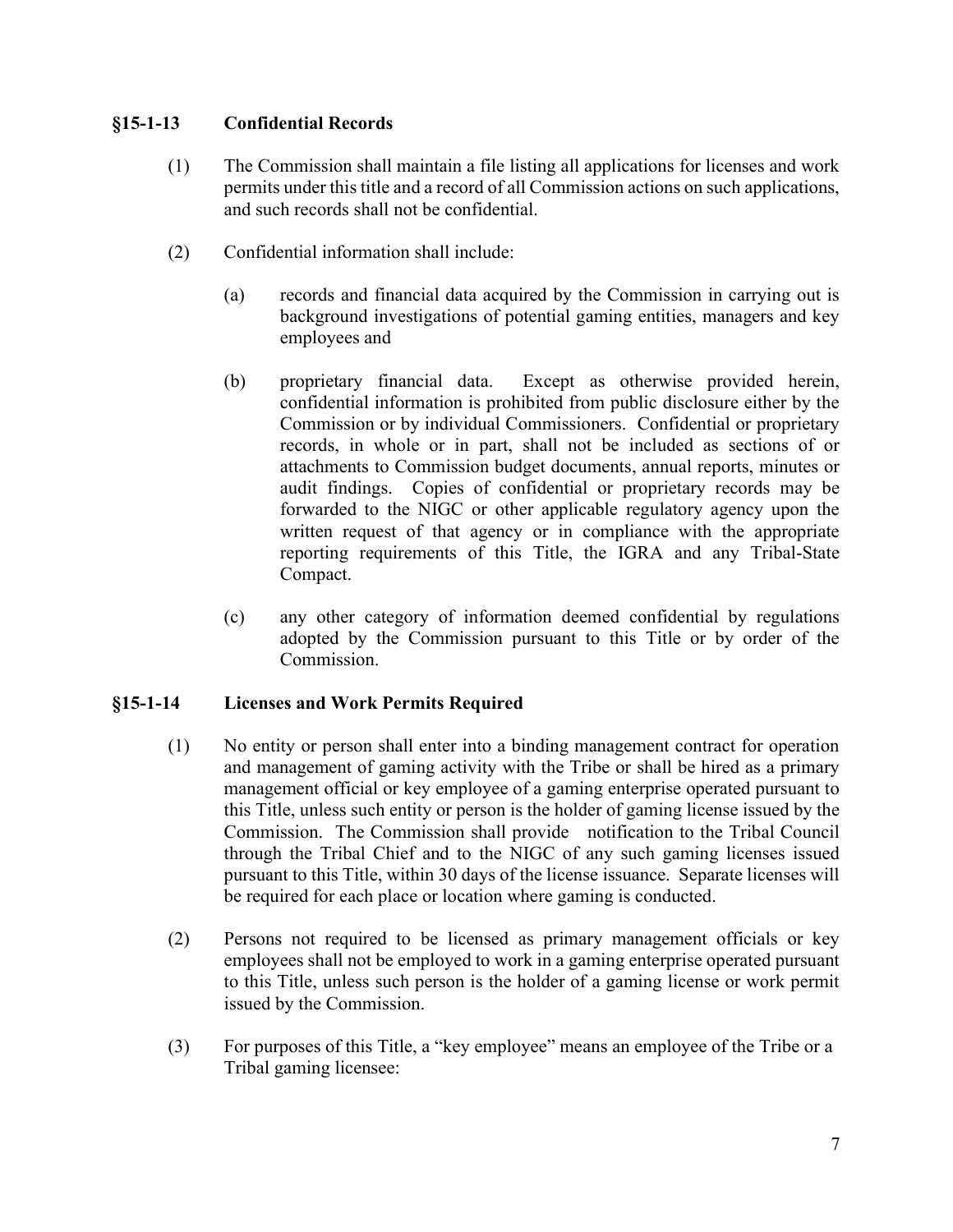### §15-1-13 Confidential Records

- (1) The Commission shall maintain a file listing all applications for licenses and work permits under this title and a record of all Commission actions on such applications, and such records shall not be confidential.
- (2) Confidential information shall include:
	- (a) records and financial data acquired by the Commission in carrying out is background investigations of potential gaming entities, managers and key employees and
	- (b) proprietary financial data. Except as otherwise provided herein, confidential information is prohibited from public disclosure either by the Commission or by individual Commissioners. Confidential or proprietary records, in whole or in part, shall not be included as sections of or attachments to Commission budget documents, annual reports, minutes or audit findings. Copies of confidential or proprietary records may be forwarded to the NIGC or other applicable regulatory agency upon the written request of that agency or in compliance with the appropriate reporting requirements of this Title, the IGRA and any Tribal-State Compact.
	- (c) any other category of information deemed confidential by regulations adopted by the Commission pursuant to this Title or by order of the Commission.

## §15-1-14 Licenses and Work Permits Required

- (1) No entity or person shall enter into a binding management contract for operation and management of gaming activity with the Tribe or shall be hired as a primary management official or key employee of a gaming enterprise operated pursuant to this Title, unless such entity or person is the holder of gaming license issued by the Commission. The Commission shall provide notification to the Tribal Council through the Tribal Chief and to the NIGC of any such gaming licenses issued pursuant to this Title, within 30 days of the license issuance. Separate licenses will be required for each place or location where gaming is conducted.
- (2) Persons not required to be licensed as primary management officials or key employees shall not be employed to work in a gaming enterprise operated pursuant to this Title, unless such person is the holder of a gaming license or work permit issued by the Commission.
- (3) For purposes of this Title, a "key employee" means an employee of the Tribe or a Tribal gaming licensee: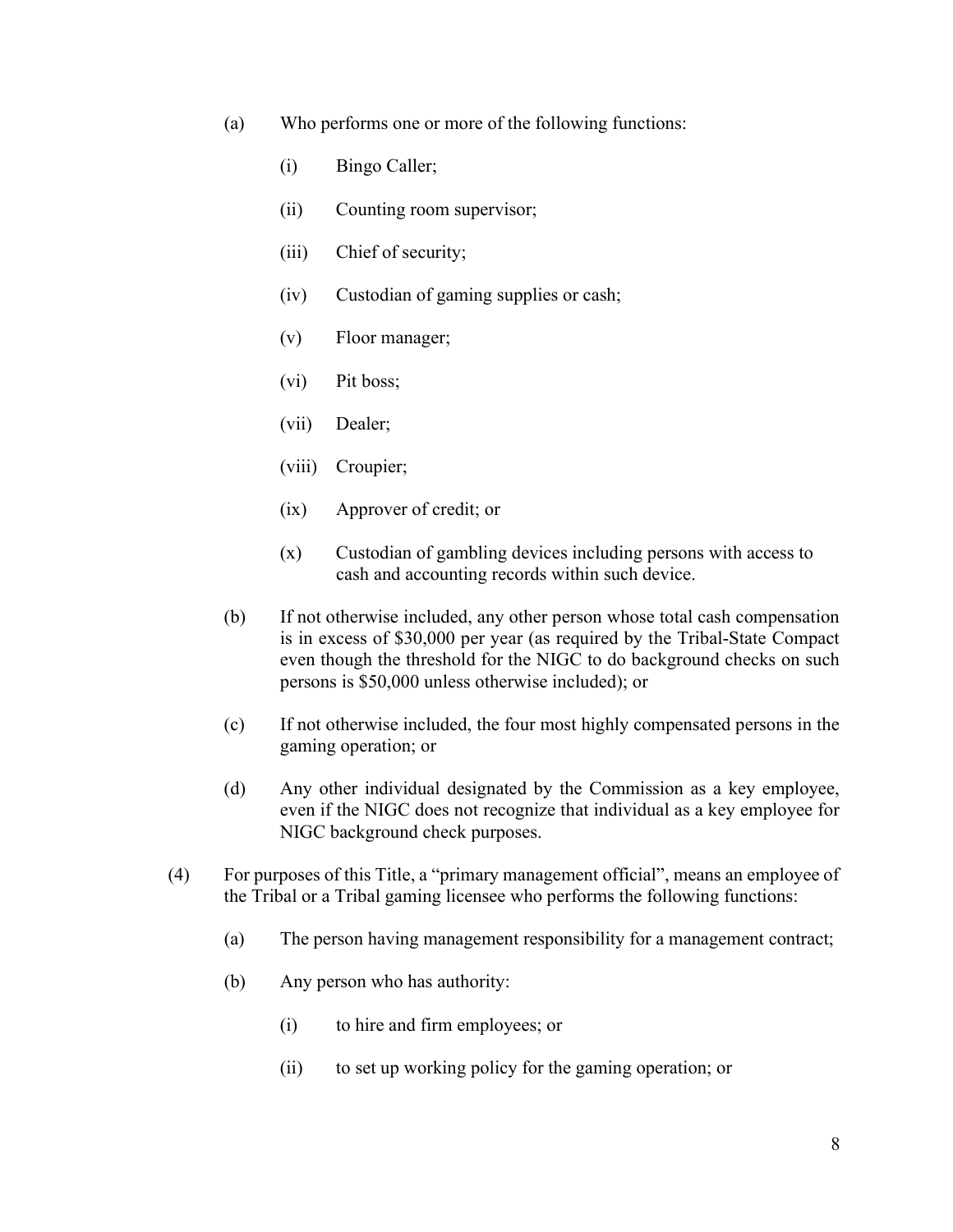- (a) Who performs one or more of the following functions:
	- (i) Bingo Caller;
	- (ii) Counting room supervisor;
	- (iii) Chief of security;
	- (iv) Custodian of gaming supplies or cash;
	- (v) Floor manager;
	- (vi) Pit boss;
	- (vii) Dealer;
	- (viii) Croupier;
	- (ix) Approver of credit; or
	- (x) Custodian of gambling devices including persons with access to cash and accounting records within such device.
- (b) If not otherwise included, any other person whose total cash compensation is in excess of \$30,000 per year (as required by the Tribal-State Compact even though the threshold for the NIGC to do background checks on such persons is \$50,000 unless otherwise included); or
- (c) If not otherwise included, the four most highly compensated persons in the gaming operation; or
- (d) Any other individual designated by the Commission as a key employee, even if the NIGC does not recognize that individual as a key employee for NIGC background check purposes.
- (4) For purposes of this Title, a "primary management official", means an employee of the Tribal or a Tribal gaming licensee who performs the following functions:
	- (a) The person having management responsibility for a management contract;
	- (b) Any person who has authority:
		- (i) to hire and firm employees; or
		- (ii) to set up working policy for the gaming operation; or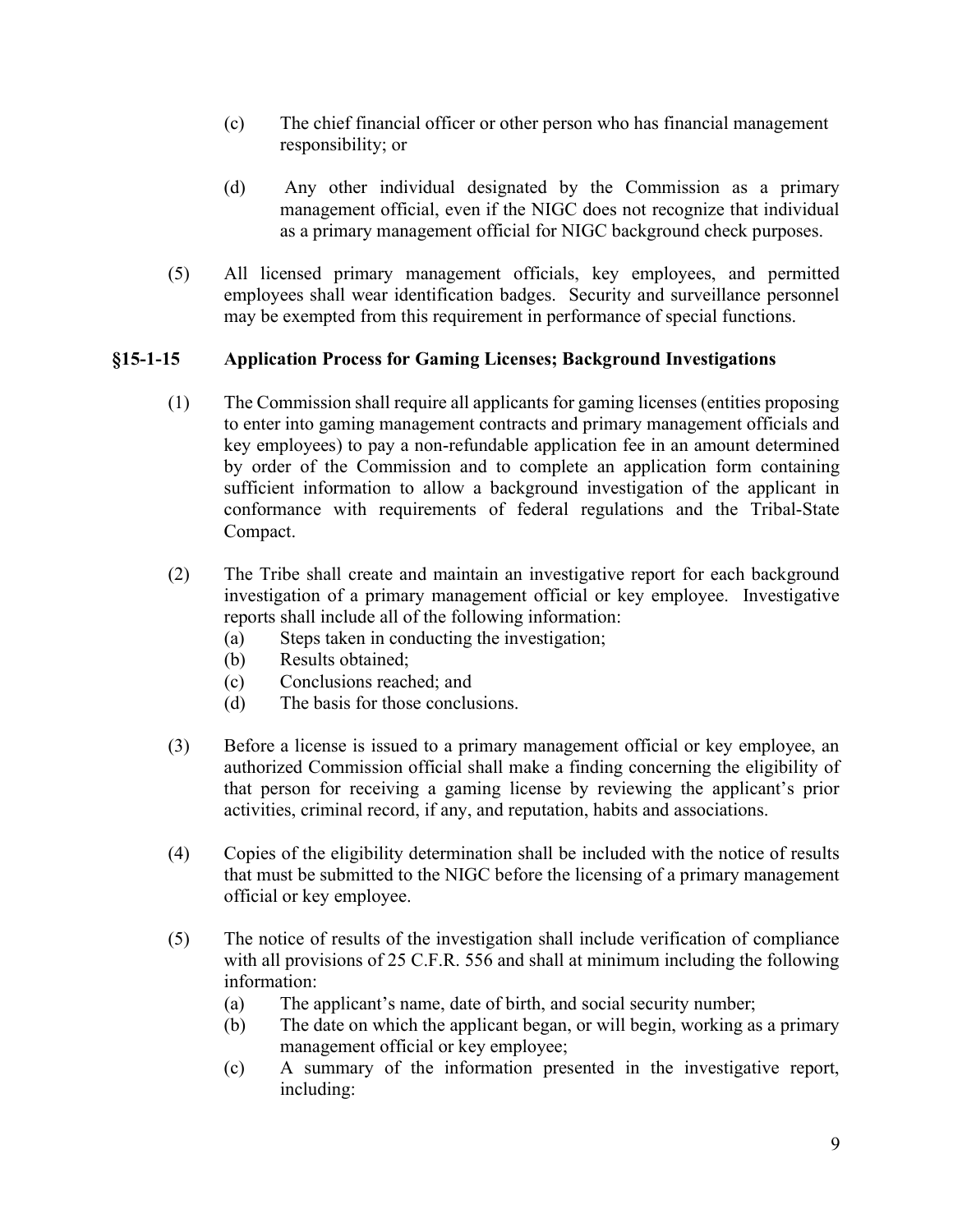- (c) The chief financial officer or other person who has financial management responsibility; or
- (d) Any other individual designated by the Commission as a primary management official, even if the NIGC does not recognize that individual as a primary management official for NIGC background check purposes.
- (5) All licensed primary management officials, key employees, and permitted employees shall wear identification badges. Security and surveillance personnel may be exempted from this requirement in performance of special functions.

## §15-1-15 Application Process for Gaming Licenses; Background Investigations

- (1) The Commission shall require all applicants for gaming licenses (entities proposing to enter into gaming management contracts and primary management officials and key employees) to pay a non-refundable application fee in an amount determined by order of the Commission and to complete an application form containing sufficient information to allow a background investigation of the applicant in conformance with requirements of federal regulations and the Tribal-State Compact.
- (2) The Tribe shall create and maintain an investigative report for each background investigation of a primary management official or key employee. Investigative reports shall include all of the following information:
	- (a) Steps taken in conducting the investigation;
	- (b) Results obtained;
	- (c) Conclusions reached; and
	- (d) The basis for those conclusions.
- (3) Before a license is issued to a primary management official or key employee, an authorized Commission official shall make a finding concerning the eligibility of that person for receiving a gaming license by reviewing the applicant's prior activities, criminal record, if any, and reputation, habits and associations.
- (4) Copies of the eligibility determination shall be included with the notice of results that must be submitted to the NIGC before the licensing of a primary management official or key employee.
- (5) The notice of results of the investigation shall include verification of compliance with all provisions of 25 C.F.R. 556 and shall at minimum including the following information:
	- (a) The applicant's name, date of birth, and social security number;
	- (b) The date on which the applicant began, or will begin, working as a primary management official or key employee;
	- (c) A summary of the information presented in the investigative report, including: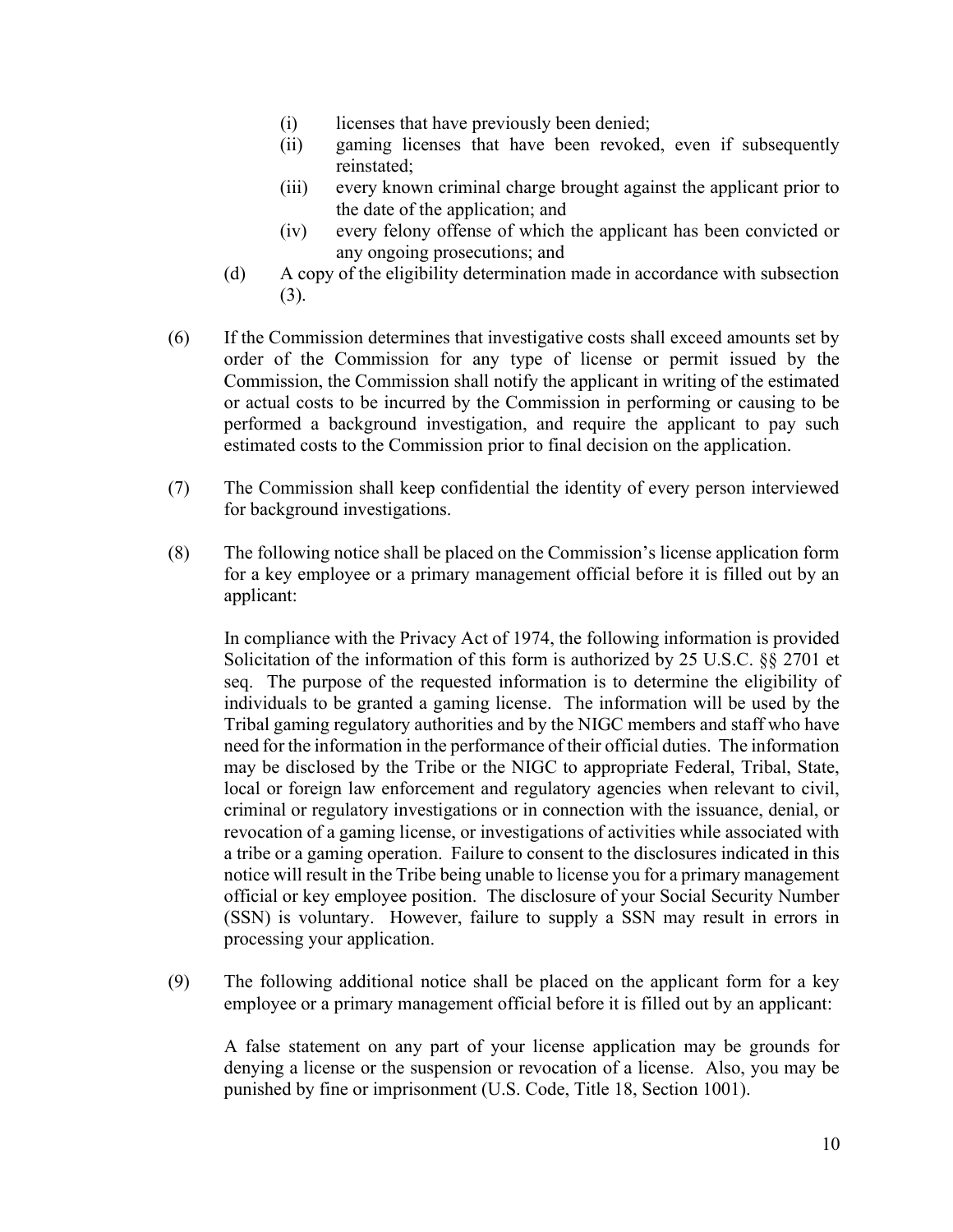- (i) licenses that have previously been denied;
- (ii) gaming licenses that have been revoked, even if subsequently reinstated;
- (iii) every known criminal charge brought against the applicant prior to the date of the application; and
- (iv) every felony offense of which the applicant has been convicted or any ongoing prosecutions; and
- (d) A copy of the eligibility determination made in accordance with subsection (3).
- (6) If the Commission determines that investigative costs shall exceed amounts set by order of the Commission for any type of license or permit issued by the Commission, the Commission shall notify the applicant in writing of the estimated or actual costs to be incurred by the Commission in performing or causing to be performed a background investigation, and require the applicant to pay such estimated costs to the Commission prior to final decision on the application.
- (7) The Commission shall keep confidential the identity of every person interviewed for background investigations.
- (8) The following notice shall be placed on the Commission's license application form for a key employee or a primary management official before it is filled out by an applicant:

 In compliance with the Privacy Act of 1974, the following information is provided Solicitation of the information of this form is authorized by 25 U.S.C. §§ 2701 et seq. The purpose of the requested information is to determine the eligibility of individuals to be granted a gaming license. The information will be used by the Tribal gaming regulatory authorities and by the NIGC members and staff who have need for the information in the performance of their official duties. The information may be disclosed by the Tribe or the NIGC to appropriate Federal, Tribal, State, local or foreign law enforcement and regulatory agencies when relevant to civil, criminal or regulatory investigations or in connection with the issuance, denial, or revocation of a gaming license, or investigations of activities while associated with a tribe or a gaming operation. Failure to consent to the disclosures indicated in this notice will result in the Tribe being unable to license you for a primary management official or key employee position. The disclosure of your Social Security Number (SSN) is voluntary. However, failure to supply a SSN may result in errors in processing your application.

(9) The following additional notice shall be placed on the applicant form for a key employee or a primary management official before it is filled out by an applicant:

 A false statement on any part of your license application may be grounds for denying a license or the suspension or revocation of a license. Also, you may be punished by fine or imprisonment (U.S. Code, Title 18, Section 1001).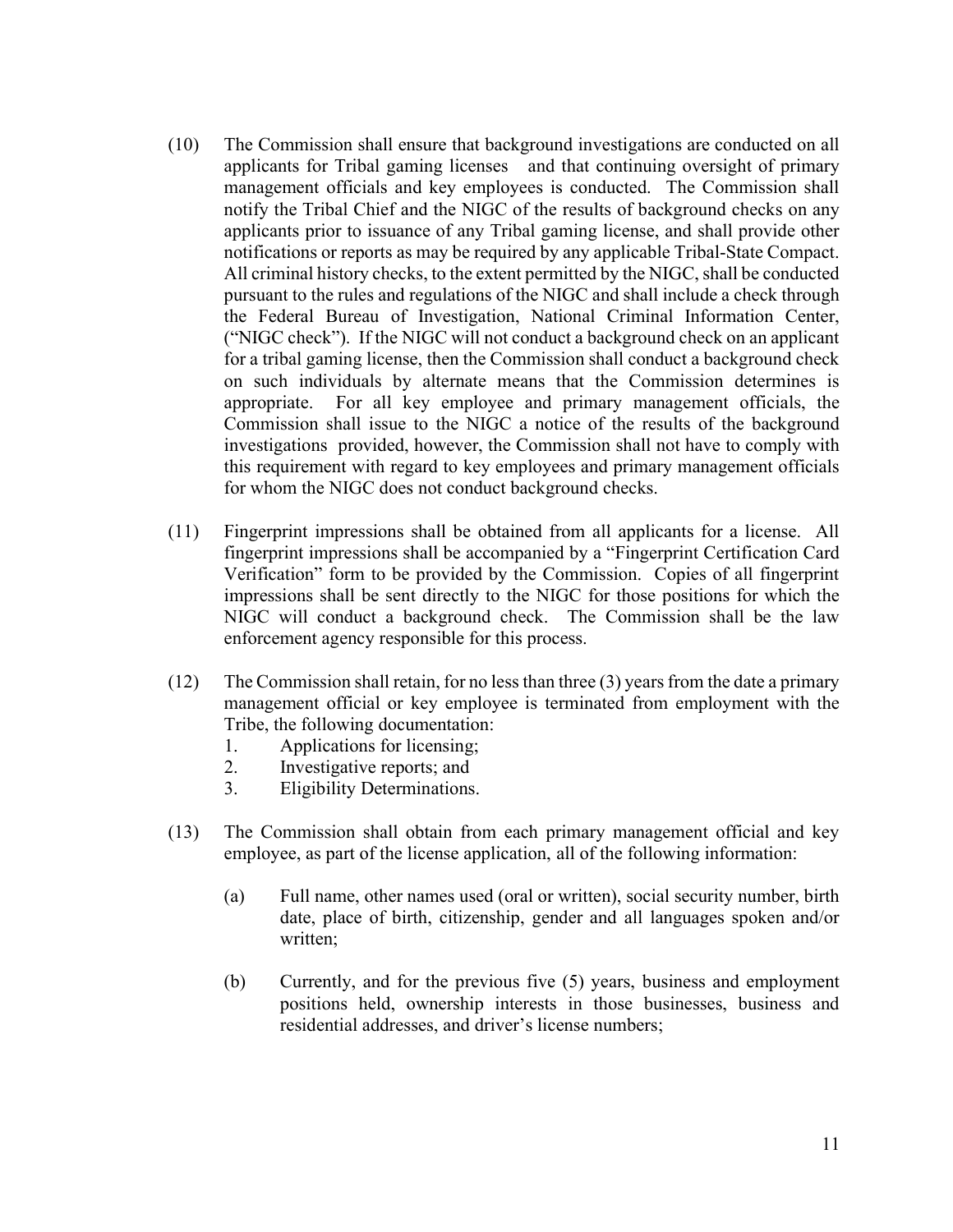- (10) The Commission shall ensure that background investigations are conducted on all applicants for Tribal gaming licenses and that continuing oversight of primary management officials and key employees is conducted. The Commission shall notify the Tribal Chief and the NIGC of the results of background checks on any applicants prior to issuance of any Tribal gaming license, and shall provide other notifications or reports as may be required by any applicable Tribal-State Compact. All criminal history checks, to the extent permitted by the NIGC, shall be conducted pursuant to the rules and regulations of the NIGC and shall include a check through the Federal Bureau of Investigation, National Criminal Information Center, ("NIGC check"). If the NIGC will not conduct a background check on an applicant for a tribal gaming license, then the Commission shall conduct a background check on such individuals by alternate means that the Commission determines is appropriate. For all key employee and primary management officials, the Commission shall issue to the NIGC a notice of the results of the background investigations provided, however, the Commission shall not have to comply with this requirement with regard to key employees and primary management officials for whom the NIGC does not conduct background checks.
- (11) Fingerprint impressions shall be obtained from all applicants for a license. All fingerprint impressions shall be accompanied by a "Fingerprint Certification Card Verification" form to be provided by the Commission. Copies of all fingerprint impressions shall be sent directly to the NIGC for those positions for which the NIGC will conduct a background check. The Commission shall be the law enforcement agency responsible for this process.
- (12) The Commission shall retain, for no less than three (3) years from the date a primary management official or key employee is terminated from employment with the Tribe, the following documentation:
	- 1. Applications for licensing;
	- 2. Investigative reports; and
	- 3. Eligibility Determinations.
- (13) The Commission shall obtain from each primary management official and key employee, as part of the license application, all of the following information:
	- (a) Full name, other names used (oral or written), social security number, birth date, place of birth, citizenship, gender and all languages spoken and/or written;
	- (b) Currently, and for the previous five (5) years, business and employment positions held, ownership interests in those businesses, business and residential addresses, and driver's license numbers;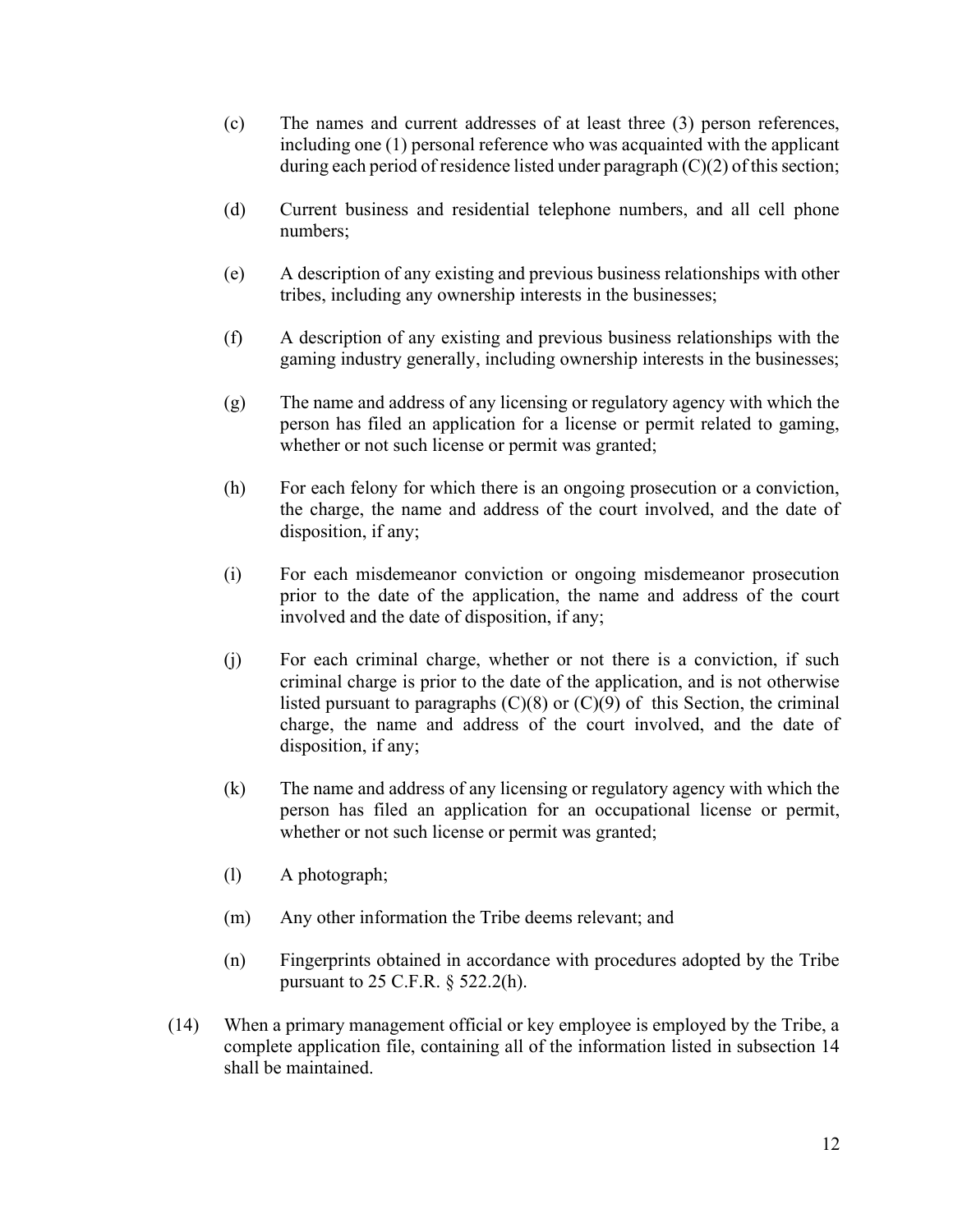- (c) The names and current addresses of at least three (3) person references, including one (1) personal reference who was acquainted with the applicant during each period of residence listed under paragraph (C)(2) of this section;
- (d) Current business and residential telephone numbers, and all cell phone numbers;
- (e) A description of any existing and previous business relationships with other tribes, including any ownership interests in the businesses;
- (f) A description of any existing and previous business relationships with the gaming industry generally, including ownership interests in the businesses;
- (g) The name and address of any licensing or regulatory agency with which the person has filed an application for a license or permit related to gaming, whether or not such license or permit was granted;
- (h) For each felony for which there is an ongoing prosecution or a conviction, the charge, the name and address of the court involved, and the date of disposition, if any;
- (i) For each misdemeanor conviction or ongoing misdemeanor prosecution prior to the date of the application, the name and address of the court involved and the date of disposition, if any;
- (j) For each criminal charge, whether or not there is a conviction, if such criminal charge is prior to the date of the application, and is not otherwise listed pursuant to paragraphs  $(C)(8)$  or  $(C)(9)$  of this Section, the criminal charge, the name and address of the court involved, and the date of disposition, if any;
- (k) The name and address of any licensing or regulatory agency with which the person has filed an application for an occupational license or permit, whether or not such license or permit was granted;
- (l) A photograph;
- (m) Any other information the Tribe deems relevant; and
- (n) Fingerprints obtained in accordance with procedures adopted by the Tribe pursuant to 25 C.F.R. § 522.2(h).
- (14) When a primary management official or key employee is employed by the Tribe, a complete application file, containing all of the information listed in subsection 14 shall be maintained.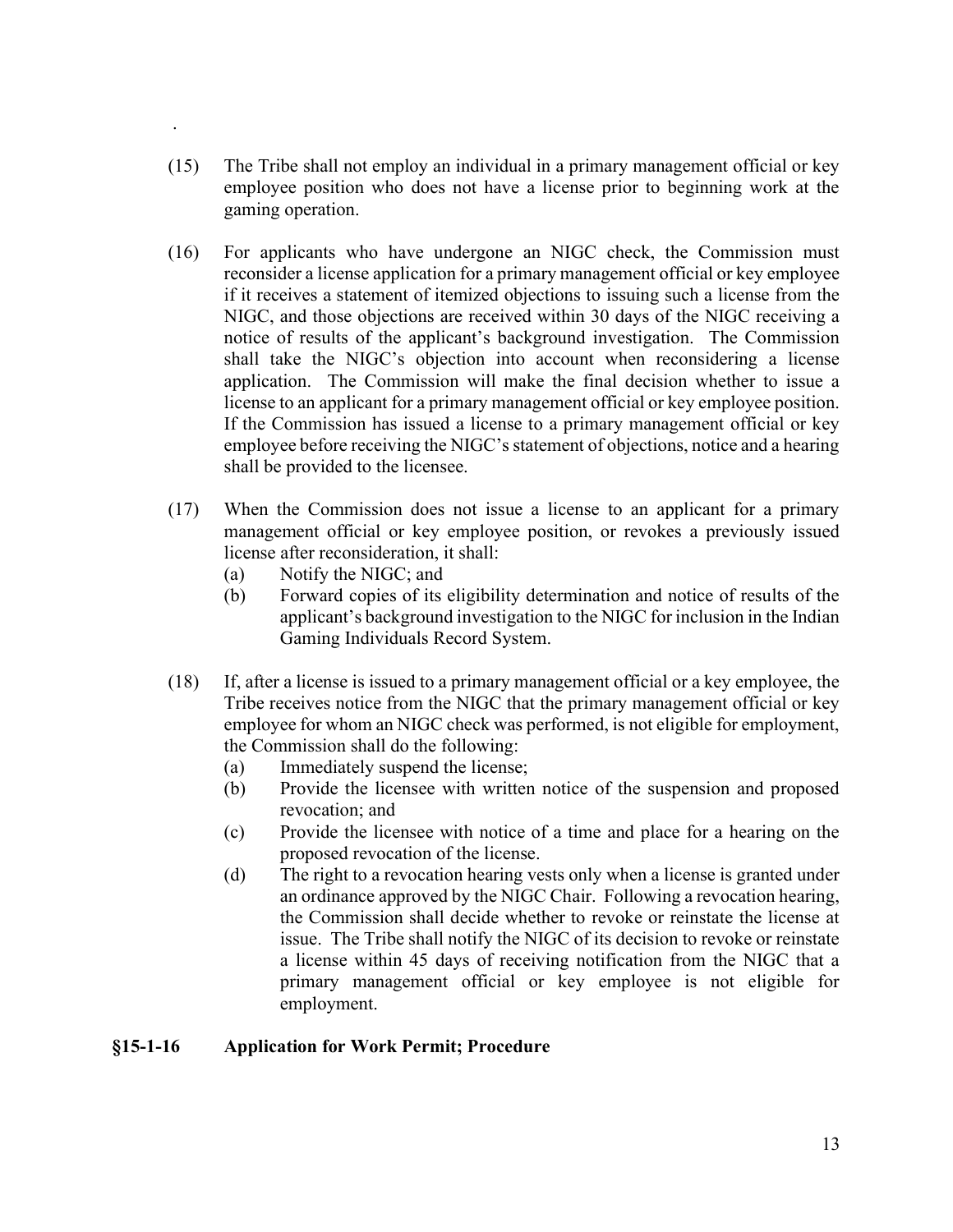- (15) The Tribe shall not employ an individual in a primary management official or key employee position who does not have a license prior to beginning work at the gaming operation.
- (16) For applicants who have undergone an NIGC check, the Commission must reconsider a license application for a primary management official or key employee if it receives a statement of itemized objections to issuing such a license from the NIGC, and those objections are received within 30 days of the NIGC receiving a notice of results of the applicant's background investigation. The Commission shall take the NIGC's objection into account when reconsidering a license application. The Commission will make the final decision whether to issue a license to an applicant for a primary management official or key employee position. If the Commission has issued a license to a primary management official or key employee before receiving the NIGC's statement of objections, notice and a hearing shall be provided to the licensee.
- (17) When the Commission does not issue a license to an applicant for a primary management official or key employee position, or revokes a previously issued license after reconsideration, it shall:
	- (a) Notify the NIGC; and

.

- (b) Forward copies of its eligibility determination and notice of results of the applicant's background investigation to the NIGC for inclusion in the Indian Gaming Individuals Record System.
- (18) If, after a license is issued to a primary management official or a key employee, the Tribe receives notice from the NIGC that the primary management official or key employee for whom an NIGC check was performed, is not eligible for employment, the Commission shall do the following:
	- (a) Immediately suspend the license;
	- (b) Provide the licensee with written notice of the suspension and proposed revocation; and
	- (c) Provide the licensee with notice of a time and place for a hearing on the proposed revocation of the license.
	- (d) The right to a revocation hearing vests only when a license is granted under an ordinance approved by the NIGC Chair. Following a revocation hearing, the Commission shall decide whether to revoke or reinstate the license at issue. The Tribe shall notify the NIGC of its decision to revoke or reinstate a license within 45 days of receiving notification from the NIGC that a primary management official or key employee is not eligible for employment.

### §15-1-16 Application for Work Permit; Procedure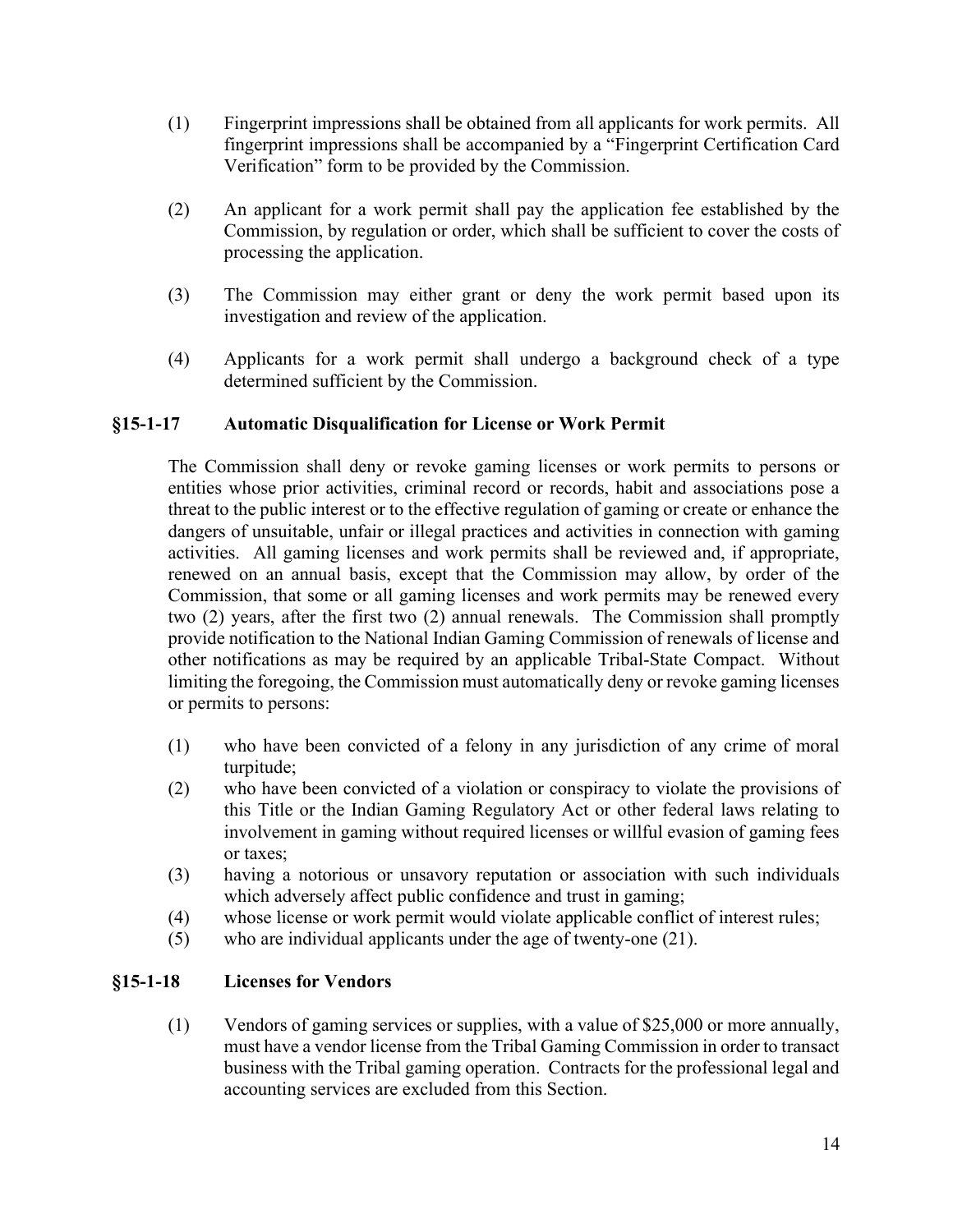- (1) Fingerprint impressions shall be obtained from all applicants for work permits. All fingerprint impressions shall be accompanied by a "Fingerprint Certification Card Verification" form to be provided by the Commission.
- (2) An applicant for a work permit shall pay the application fee established by the Commission, by regulation or order, which shall be sufficient to cover the costs of processing the application.
- (3) The Commission may either grant or deny the work permit based upon its investigation and review of the application.
- (4) Applicants for a work permit shall undergo a background check of a type determined sufficient by the Commission.

### §15-1-17 Automatic Disqualification for License or Work Permit

The Commission shall deny or revoke gaming licenses or work permits to persons or entities whose prior activities, criminal record or records, habit and associations pose a threat to the public interest or to the effective regulation of gaming or create or enhance the dangers of unsuitable, unfair or illegal practices and activities in connection with gaming activities. All gaming licenses and work permits shall be reviewed and, if appropriate, renewed on an annual basis, except that the Commission may allow, by order of the Commission, that some or all gaming licenses and work permits may be renewed every two (2) years, after the first two (2) annual renewals. The Commission shall promptly provide notification to the National Indian Gaming Commission of renewals of license and other notifications as may be required by an applicable Tribal-State Compact. Without limiting the foregoing, the Commission must automatically deny or revoke gaming licenses or permits to persons:

- (1) who have been convicted of a felony in any jurisdiction of any crime of moral turpitude;
- (2) who have been convicted of a violation or conspiracy to violate the provisions of this Title or the Indian Gaming Regulatory Act or other federal laws relating to involvement in gaming without required licenses or willful evasion of gaming fees or taxes;
- (3) having a notorious or unsavory reputation or association with such individuals which adversely affect public confidence and trust in gaming;
- (4) whose license or work permit would violate applicable conflict of interest rules;
- (5) who are individual applicants under the age of twenty-one (21).

### §15-1-18 Licenses for Vendors

(1) Vendors of gaming services or supplies, with a value of \$25,000 or more annually, must have a vendor license from the Tribal Gaming Commission in order to transact business with the Tribal gaming operation. Contracts for the professional legal and accounting services are excluded from this Section.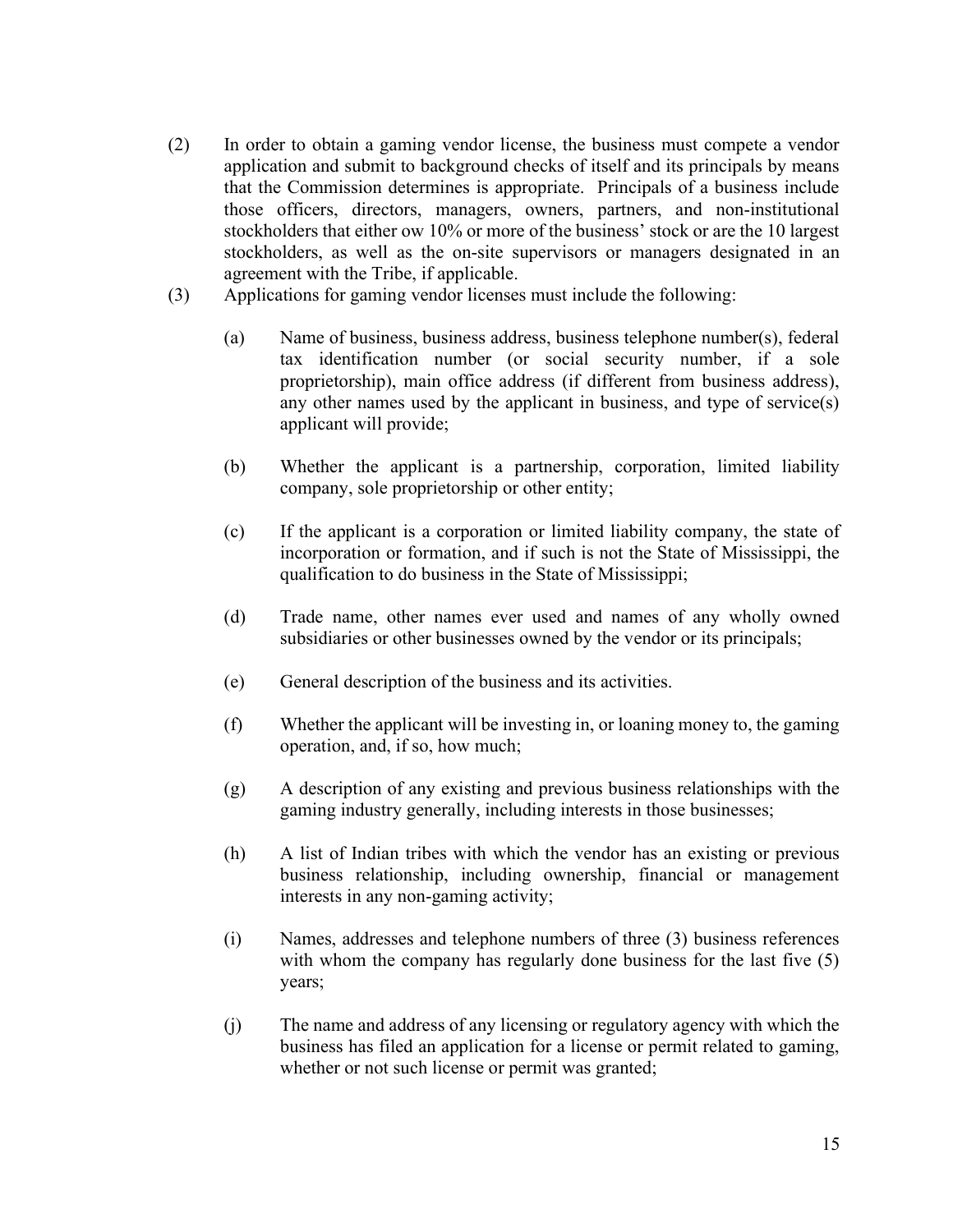- (2) In order to obtain a gaming vendor license, the business must compete a vendor application and submit to background checks of itself and its principals by means that the Commission determines is appropriate. Principals of a business include those officers, directors, managers, owners, partners, and non-institutional stockholders that either ow 10% or more of the business' stock or are the 10 largest stockholders, as well as the on-site supervisors or managers designated in an agreement with the Tribe, if applicable.
- (3) Applications for gaming vendor licenses must include the following:
	- (a) Name of business, business address, business telephone number(s), federal tax identification number (or social security number, if a sole proprietorship), main office address (if different from business address), any other names used by the applicant in business, and type of service(s) applicant will provide;
	- (b) Whether the applicant is a partnership, corporation, limited liability company, sole proprietorship or other entity;
	- (c) If the applicant is a corporation or limited liability company, the state of incorporation or formation, and if such is not the State of Mississippi, the qualification to do business in the State of Mississippi;
	- (d) Trade name, other names ever used and names of any wholly owned subsidiaries or other businesses owned by the vendor or its principals;
	- (e) General description of the business and its activities.
	- (f) Whether the applicant will be investing in, or loaning money to, the gaming operation, and, if so, how much;
	- (g) A description of any existing and previous business relationships with the gaming industry generally, including interests in those businesses;
	- (h) A list of Indian tribes with which the vendor has an existing or previous business relationship, including ownership, financial or management interests in any non-gaming activity;
	- (i) Names, addresses and telephone numbers of three (3) business references with whom the company has regularly done business for the last five (5) years;
	- (j) The name and address of any licensing or regulatory agency with which the business has filed an application for a license or permit related to gaming, whether or not such license or permit was granted;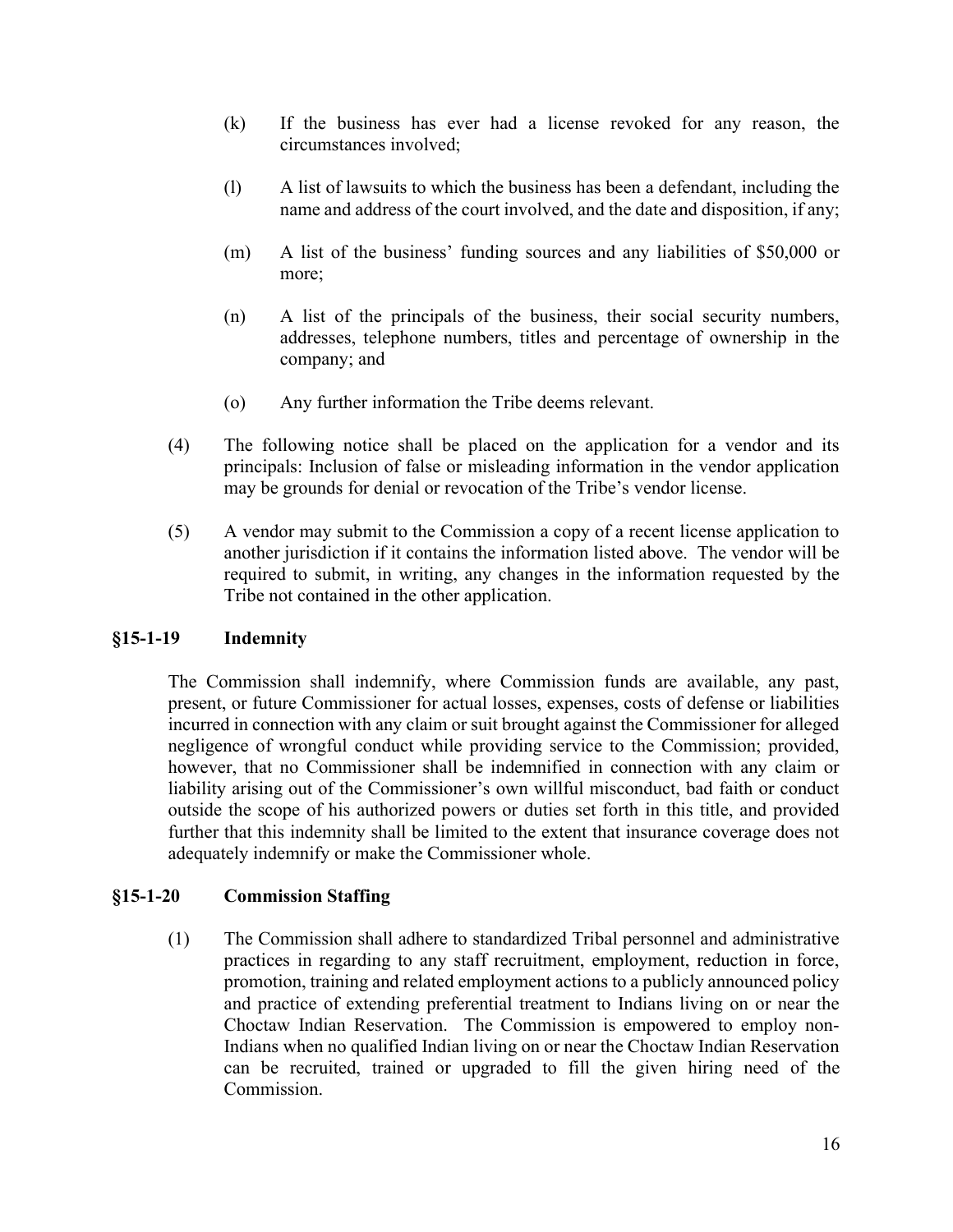- (k) If the business has ever had a license revoked for any reason, the circumstances involved;
- (l) A list of lawsuits to which the business has been a defendant, including the name and address of the court involved, and the date and disposition, if any;
- (m) A list of the business' funding sources and any liabilities of \$50,000 or more;
- (n) A list of the principals of the business, their social security numbers, addresses, telephone numbers, titles and percentage of ownership in the company; and
- (o) Any further information the Tribe deems relevant.
- (4) The following notice shall be placed on the application for a vendor and its principals: Inclusion of false or misleading information in the vendor application may be grounds for denial or revocation of the Tribe's vendor license.
- (5) A vendor may submit to the Commission a copy of a recent license application to another jurisdiction if it contains the information listed above. The vendor will be required to submit, in writing, any changes in the information requested by the Tribe not contained in the other application.

## §15-1-19 Indemnity

The Commission shall indemnify, where Commission funds are available, any past, present, or future Commissioner for actual losses, expenses, costs of defense or liabilities incurred in connection with any claim or suit brought against the Commissioner for alleged negligence of wrongful conduct while providing service to the Commission; provided, however, that no Commissioner shall be indemnified in connection with any claim or liability arising out of the Commissioner's own willful misconduct, bad faith or conduct outside the scope of his authorized powers or duties set forth in this title, and provided further that this indemnity shall be limited to the extent that insurance coverage does not adequately indemnify or make the Commissioner whole.

## §15-1-20 Commission Staffing

(1) The Commission shall adhere to standardized Tribal personnel and administrative practices in regarding to any staff recruitment, employment, reduction in force, promotion, training and related employment actions to a publicly announced policy and practice of extending preferential treatment to Indians living on or near the Choctaw Indian Reservation. The Commission is empowered to employ non-Indians when no qualified Indian living on or near the Choctaw Indian Reservation can be recruited, trained or upgraded to fill the given hiring need of the Commission.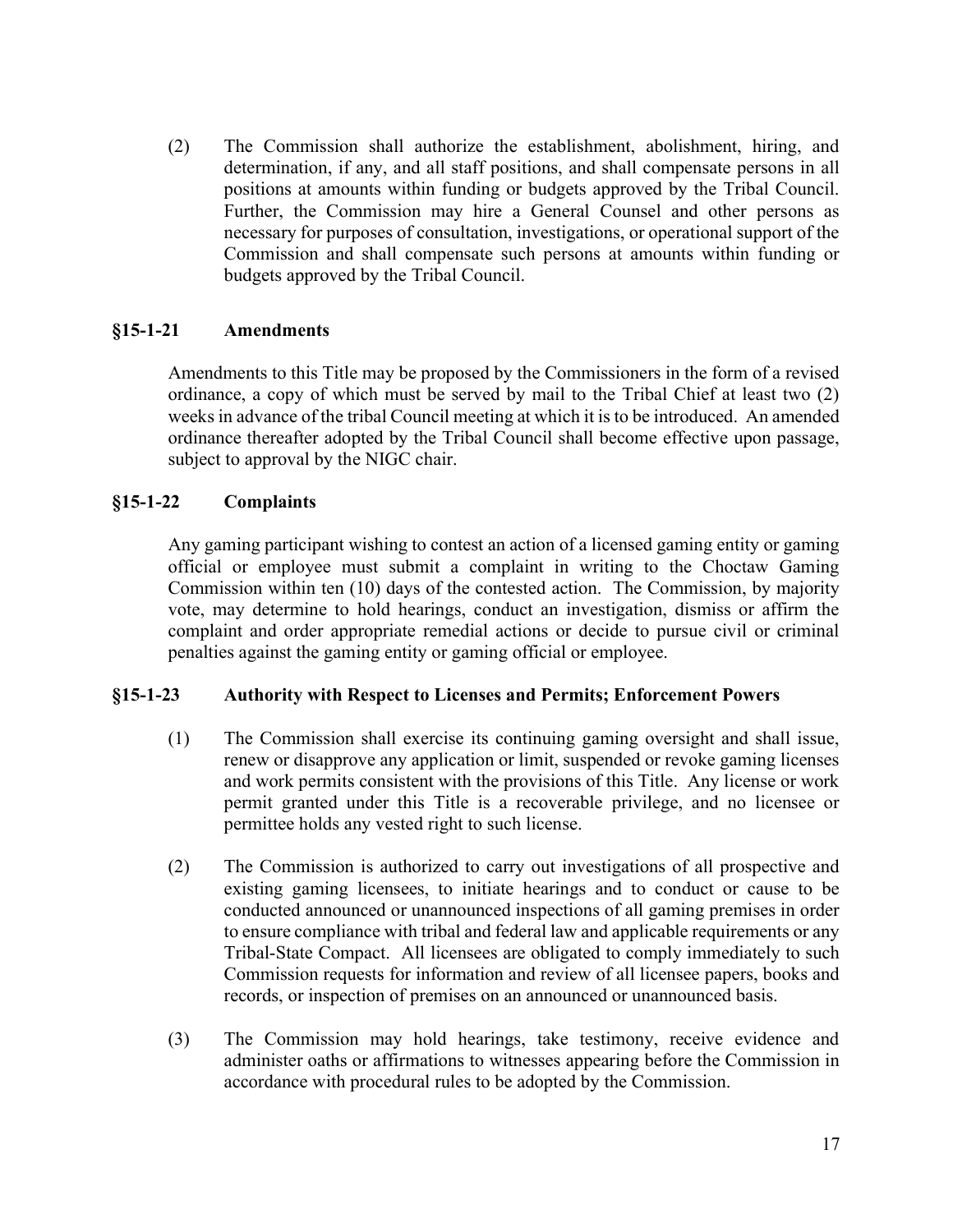(2) The Commission shall authorize the establishment, abolishment, hiring, and determination, if any, and all staff positions, and shall compensate persons in all positions at amounts within funding or budgets approved by the Tribal Council. Further, the Commission may hire a General Counsel and other persons as necessary for purposes of consultation, investigations, or operational support of the Commission and shall compensate such persons at amounts within funding or budgets approved by the Tribal Council.

### §15-1-21 Amendments

Amendments to this Title may be proposed by the Commissioners in the form of a revised ordinance, a copy of which must be served by mail to the Tribal Chief at least two (2) weeks in advance of the tribal Council meeting at which it is to be introduced. An amended ordinance thereafter adopted by the Tribal Council shall become effective upon passage, subject to approval by the NIGC chair.

#### §15-1-22 Complaints

Any gaming participant wishing to contest an action of a licensed gaming entity or gaming official or employee must submit a complaint in writing to the Choctaw Gaming Commission within ten (10) days of the contested action. The Commission, by majority vote, may determine to hold hearings, conduct an investigation, dismiss or affirm the complaint and order appropriate remedial actions or decide to pursue civil or criminal penalties against the gaming entity or gaming official or employee.

#### §15-1-23 Authority with Respect to Licenses and Permits; Enforcement Powers

- (1) The Commission shall exercise its continuing gaming oversight and shall issue, renew or disapprove any application or limit, suspended or revoke gaming licenses and work permits consistent with the provisions of this Title. Any license or work permit granted under this Title is a recoverable privilege, and no licensee or permittee holds any vested right to such license.
- (2) The Commission is authorized to carry out investigations of all prospective and existing gaming licensees, to initiate hearings and to conduct or cause to be conducted announced or unannounced inspections of all gaming premises in order to ensure compliance with tribal and federal law and applicable requirements or any Tribal-State Compact. All licensees are obligated to comply immediately to such Commission requests for information and review of all licensee papers, books and records, or inspection of premises on an announced or unannounced basis.
- (3) The Commission may hold hearings, take testimony, receive evidence and administer oaths or affirmations to witnesses appearing before the Commission in accordance with procedural rules to be adopted by the Commission.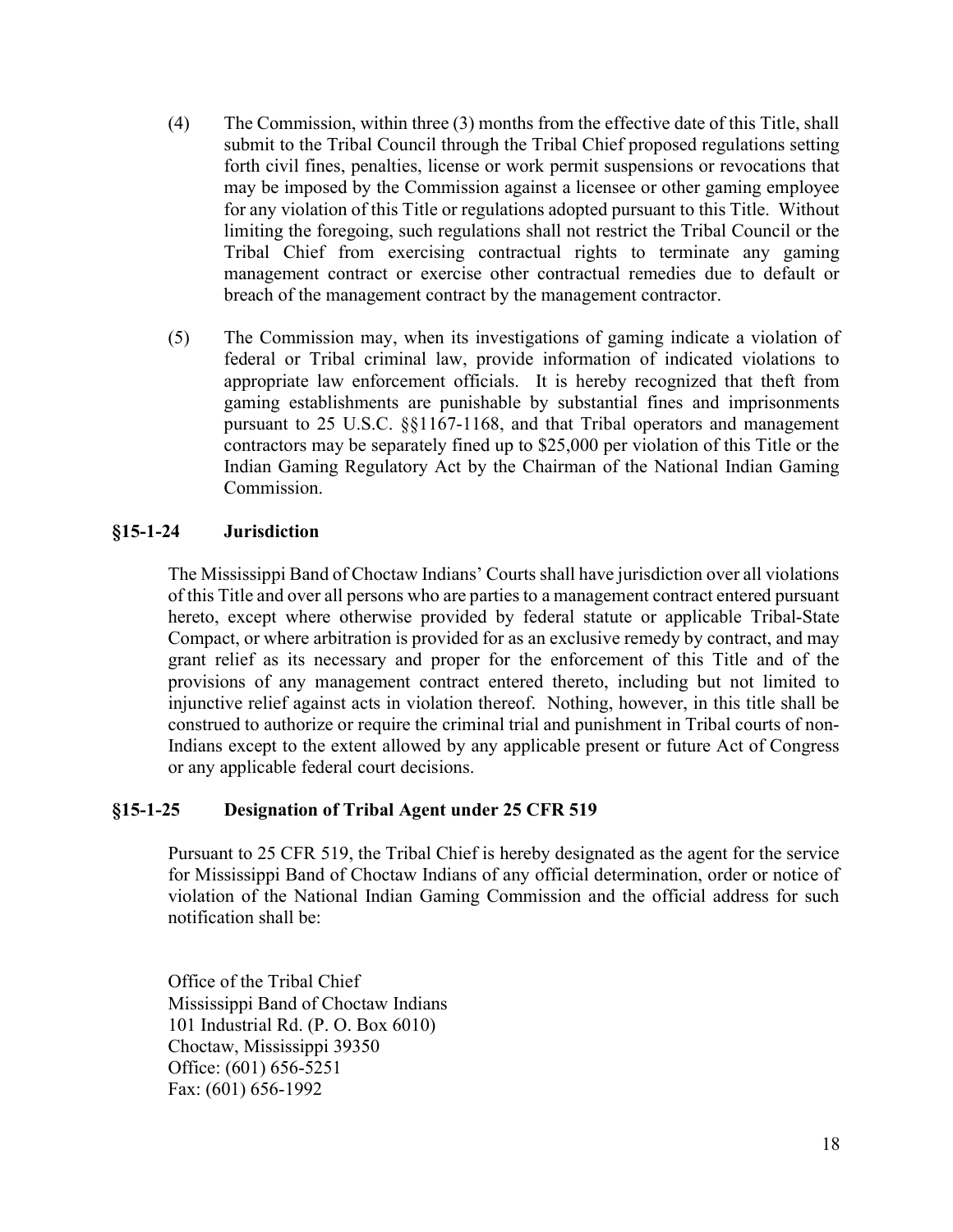- (4) The Commission, within three (3) months from the effective date of this Title, shall submit to the Tribal Council through the Tribal Chief proposed regulations setting forth civil fines, penalties, license or work permit suspensions or revocations that may be imposed by the Commission against a licensee or other gaming employee for any violation of this Title or regulations adopted pursuant to this Title. Without limiting the foregoing, such regulations shall not restrict the Tribal Council or the Tribal Chief from exercising contractual rights to terminate any gaming management contract or exercise other contractual remedies due to default or breach of the management contract by the management contractor.
- (5) The Commission may, when its investigations of gaming indicate a violation of federal or Tribal criminal law, provide information of indicated violations to appropriate law enforcement officials. It is hereby recognized that theft from gaming establishments are punishable by substantial fines and imprisonments pursuant to 25 U.S.C. §§1167-1168, and that Tribal operators and management contractors may be separately fined up to \$25,000 per violation of this Title or the Indian Gaming Regulatory Act by the Chairman of the National Indian Gaming Commission.

### §15-1-24 Jurisdiction

The Mississippi Band of Choctaw Indians' Courts shall have jurisdiction over all violations of this Title and over all persons who are parties to a management contract entered pursuant hereto, except where otherwise provided by federal statute or applicable Tribal-State Compact, or where arbitration is provided for as an exclusive remedy by contract, and may grant relief as its necessary and proper for the enforcement of this Title and of the provisions of any management contract entered thereto, including but not limited to injunctive relief against acts in violation thereof. Nothing, however, in this title shall be construed to authorize or require the criminal trial and punishment in Tribal courts of non-Indians except to the extent allowed by any applicable present or future Act of Congress or any applicable federal court decisions.

### §15-1-25 Designation of Tribal Agent under 25 CFR 519

Pursuant to 25 CFR 519, the Tribal Chief is hereby designated as the agent for the service for Mississippi Band of Choctaw Indians of any official determination, order or notice of violation of the National Indian Gaming Commission and the official address for such notification shall be:

Office of the Tribal Chief Mississippi Band of Choctaw Indians 101 Industrial Rd. (P. O. Box 6010) Choctaw, Mississippi 39350 Office: (601) 656-5251 Fax: (601) 656-1992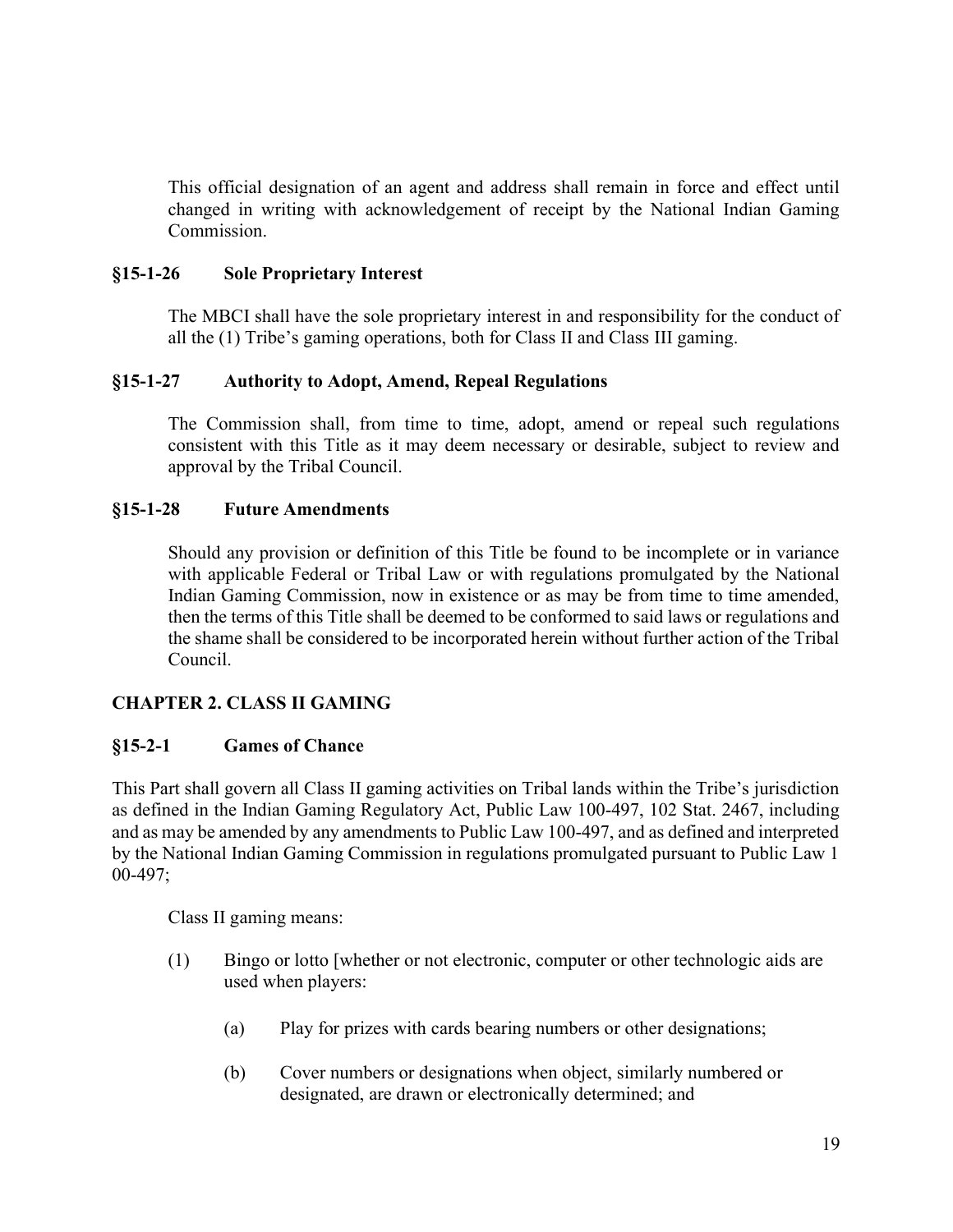This official designation of an agent and address shall remain in force and effect until changed in writing with acknowledgement of receipt by the National Indian Gaming Commission.

#### §15-1-26 Sole Proprietary Interest

The MBCI shall have the sole proprietary interest in and responsibility for the conduct of all the (1) Tribe's gaming operations, both for Class II and Class III gaming.

#### §15-1-27 Authority to Adopt, Amend, Repeal Regulations

The Commission shall, from time to time, adopt, amend or repeal such regulations consistent with this Title as it may deem necessary or desirable, subject to review and approval by the Tribal Council.

#### §15-1-28 Future Amendments

Should any provision or definition of this Title be found to be incomplete or in variance with applicable Federal or Tribal Law or with regulations promulgated by the National Indian Gaming Commission, now in existence or as may be from time to time amended, then the terms of this Title shall be deemed to be conformed to said laws or regulations and the shame shall be considered to be incorporated herein without further action of the Tribal Council.

### CHAPTER 2. CLASS II GAMING

#### §15-2-1 Games of Chance

This Part shall govern all Class II gaming activities on Tribal lands within the Tribe's jurisdiction as defined in the Indian Gaming Regulatory Act, Public Law 100-497, 102 Stat. 2467, including and as may be amended by any amendments to Public Law 100-497, and as defined and interpreted by the National Indian Gaming Commission in regulations promulgated pursuant to Public Law 1 00-497;

Class II gaming means:

- (1) Bingo or lotto [whether or not electronic, computer or other technologic aids are used when players:
	- (a) Play for prizes with cards bearing numbers or other designations;
	- (b) Cover numbers or designations when object, similarly numbered or designated, are drawn or electronically determined; and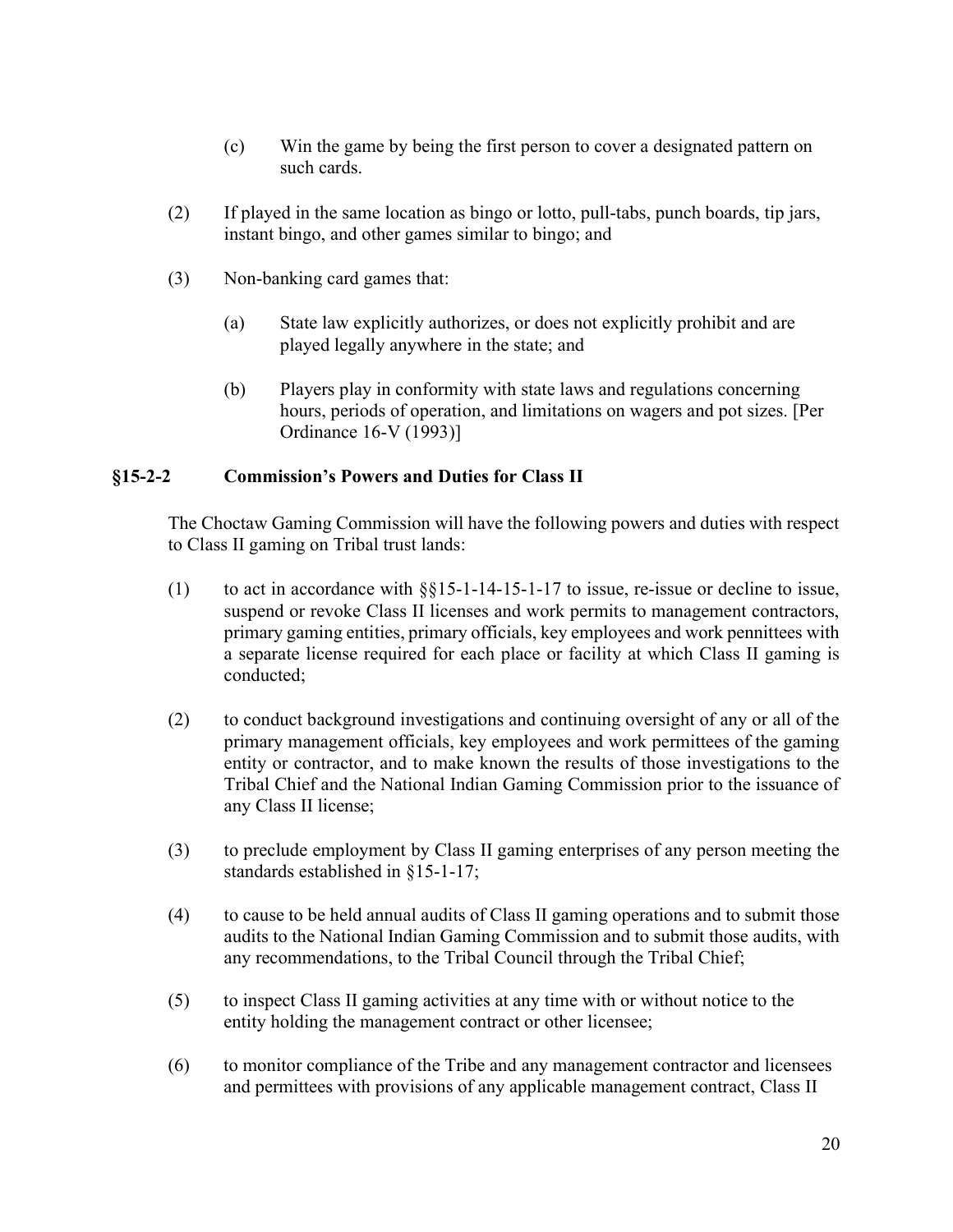- (c) Win the game by being the first person to cover a designated pattern on such cards.
- (2) If played in the same location as bingo or lotto, pull-tabs, punch boards, tip jars, instant bingo, and other games similar to bingo; and
- (3) Non-banking card games that:
	- (a) State law explicitly authorizes, or does not explicitly prohibit and are played legally anywhere in the state; and
	- (b) Players play in conformity with state laws and regulations concerning hours, periods of operation, and limitations on wagers and pot sizes. [Per Ordinance 16-V (1993)]

#### §15-2-2 Commission's Powers and Duties for Class II

The Choctaw Gaming Commission will have the following powers and duties with respect to Class II gaming on Tribal trust lands:

- (1) to act in accordance with §§15-1-14-15-1-17 to issue, re-issue or decline to issue, suspend or revoke Class II licenses and work permits to management contractors, primary gaming entities, primary officials, key employees and work pennittees with a separate license required for each place or facility at which Class II gaming is conducted;
- (2) to conduct background investigations and continuing oversight of any or all of the primary management officials, key employees and work permittees of the gaming entity or contractor, and to make known the results of those investigations to the Tribal Chief and the National Indian Gaming Commission prior to the issuance of any Class II license;
- (3) to preclude employment by Class II gaming enterprises of any person meeting the standards established in §15-1-17;
- (4) to cause to be held annual audits of Class II gaming operations and to submit those audits to the National Indian Gaming Commission and to submit those audits, with any recommendations, to the Tribal Council through the Tribal Chief;
- (5) to inspect Class II gaming activities at any time with or without notice to the entity holding the management contract or other licensee;
- (6) to monitor compliance of the Tribe and any management contractor and licensees and permittees with provisions of any applicable management contract, Class II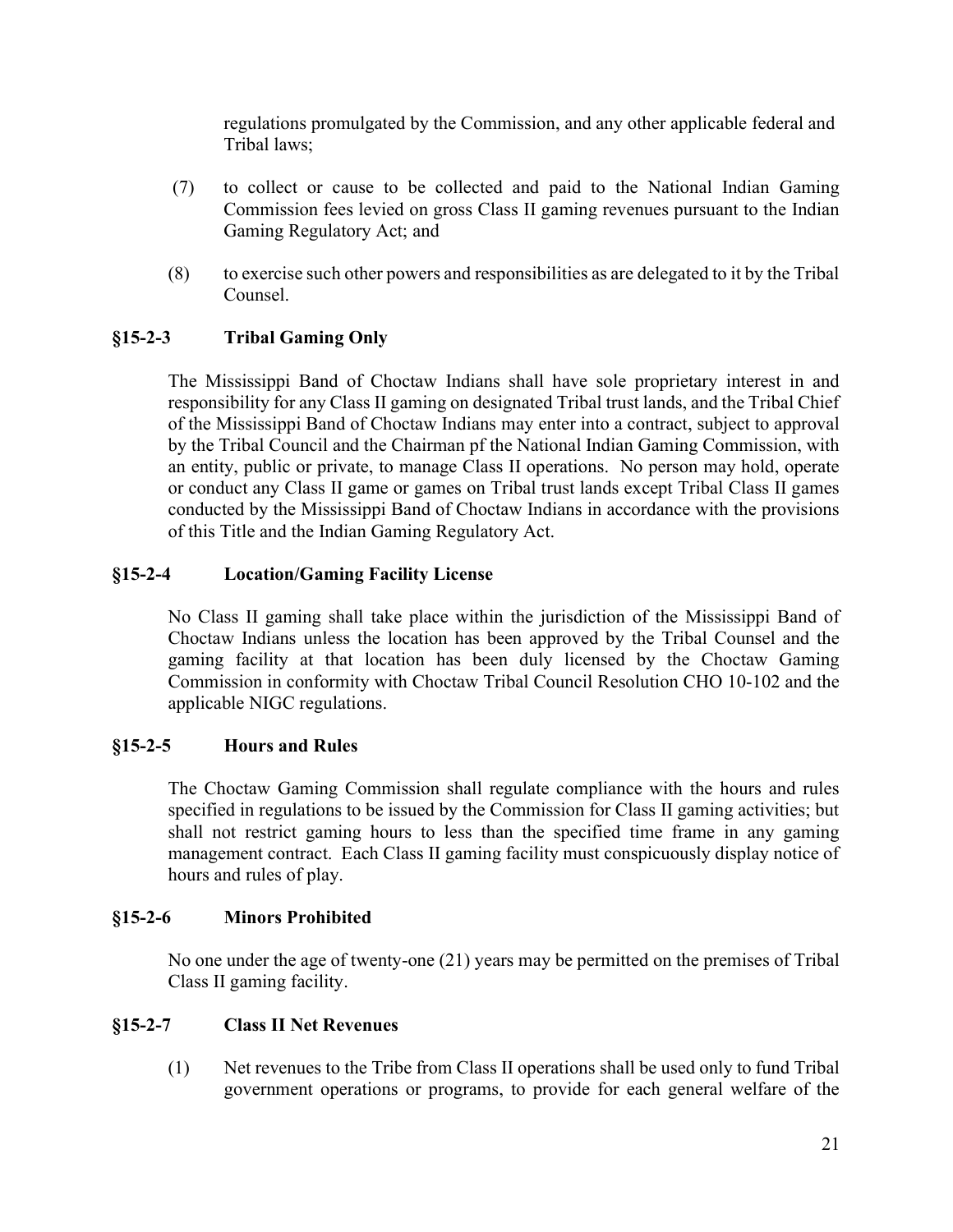regulations promulgated by the Commission, and any other applicable federal and Tribal laws;

- (7) to collect or cause to be collected and paid to the National Indian Gaming Commission fees levied on gross Class II gaming revenues pursuant to the Indian Gaming Regulatory Act; and
- (8) to exercise such other powers and responsibilities as are delegated to it by the Tribal Counsel.

## §15-2-3 Tribal Gaming Only

 The Mississippi Band of Choctaw Indians shall have sole proprietary interest in and responsibility for any Class II gaming on designated Tribal trust lands, and the Tribal Chief of the Mississippi Band of Choctaw Indians may enter into a contract, subject to approval by the Tribal Council and the Chairman pf the National Indian Gaming Commission, with an entity, public or private, to manage Class II operations. No person may hold, operate or conduct any Class II game or games on Tribal trust lands except Tribal Class II games conducted by the Mississippi Band of Choctaw Indians in accordance with the provisions of this Title and the Indian Gaming Regulatory Act.

#### §15-2-4 Location/Gaming Facility License

 No Class II gaming shall take place within the jurisdiction of the Mississippi Band of Choctaw Indians unless the location has been approved by the Tribal Counsel and the gaming facility at that location has been duly licensed by the Choctaw Gaming Commission in conformity with Choctaw Tribal Council Resolution CHO 10-102 and the applicable NIGC regulations.

#### §15-2-5 Hours and Rules

 The Choctaw Gaming Commission shall regulate compliance with the hours and rules specified in regulations to be issued by the Commission for Class II gaming activities; but shall not restrict gaming hours to less than the specified time frame in any gaming management contract. Each Class II gaming facility must conspicuously display notice of hours and rules of play.

#### §15-2-6 Minors Prohibited

 No one under the age of twenty-one (21) years may be permitted on the premises of Tribal Class II gaming facility.

#### §15-2-7 Class II Net Revenues

(1) Net revenues to the Tribe from Class II operations shall be used only to fund Tribal government operations or programs, to provide for each general welfare of the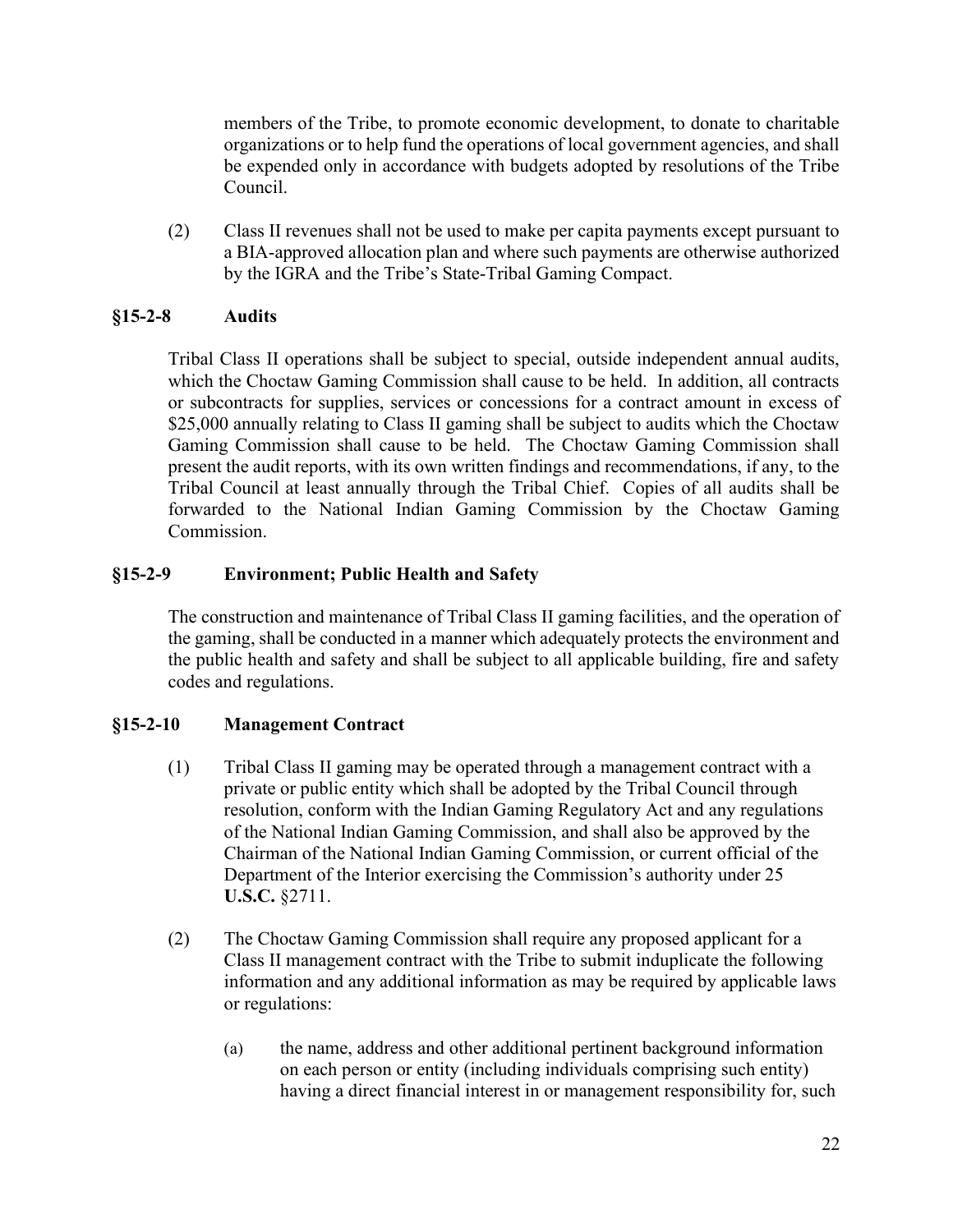members of the Tribe, to promote economic development, to donate to charitable organizations or to help fund the operations of local government agencies, and shall be expended only in accordance with budgets adopted by resolutions of the Tribe Council.

(2) Class II revenues shall not be used to make per capita payments except pursuant to a BIA-approved allocation plan and where such payments are otherwise authorized by the IGRA and the Tribe's State-Tribal Gaming Compact.

### §15-2-8 Audits

Tribal Class II operations shall be subject to special, outside independent annual audits, which the Choctaw Gaming Commission shall cause to be held. In addition, all contracts or subcontracts for supplies, services or concessions for a contract amount in excess of \$25,000 annually relating to Class II gaming shall be subject to audits which the Choctaw Gaming Commission shall cause to be held. The Choctaw Gaming Commission shall present the audit reports, with its own written findings and recommendations, if any, to the Tribal Council at least annually through the Tribal Chief. Copies of all audits shall be forwarded to the National Indian Gaming Commission by the Choctaw Gaming Commission.

## §15-2-9 Environment; Public Health and Safety

The construction and maintenance of Tribal Class II gaming facilities, and the operation of the gaming, shall be conducted in a manner which adequately protects the environment and the public health and safety and shall be subject to all applicable building, fire and safety codes and regulations.

## §15-2-10 Management Contract

- (1) Tribal Class II gaming may be operated through a management contract with a private or public entity which shall be adopted by the Tribal Council through resolution, conform with the Indian Gaming Regulatory Act and any regulations of the National Indian Gaming Commission, and shall also be approved by the Chairman of the National Indian Gaming Commission, or current official of the Department of the Interior exercising the Commission's authority under 25 U.S.C. §2711.
- (2) The Choctaw Gaming Commission shall require any proposed applicant for a Class II management contract with the Tribe to submit induplicate the following information and any additional information as may be required by applicable laws or regulations:
	- (a) the name, address and other additional pertinent background information on each person or entity (including individuals comprising such entity) having a direct financial interest in or management responsibility for, such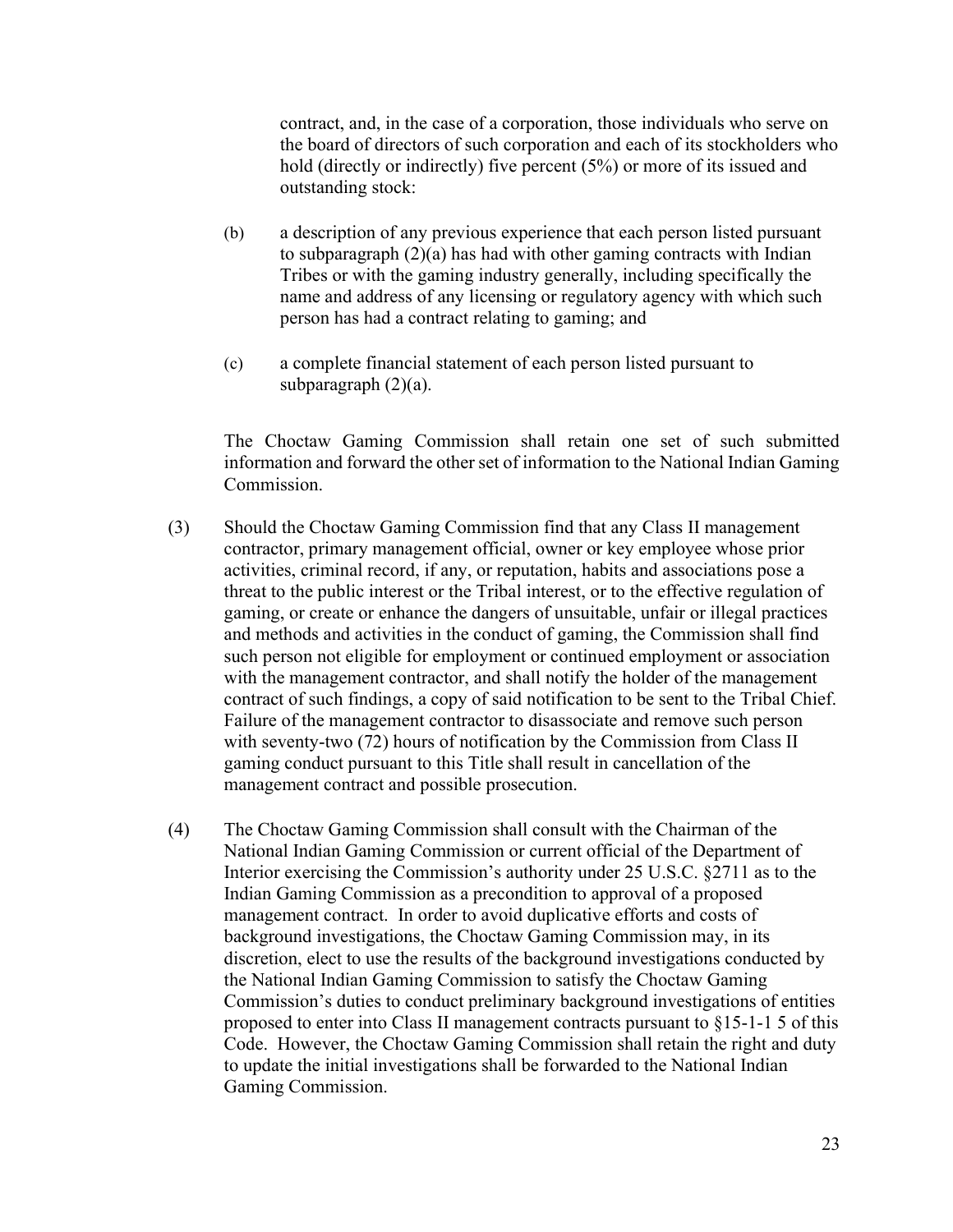contract, and, in the case of a corporation, those individuals who serve on the board of directors of such corporation and each of its stockholders who hold (directly or indirectly) five percent (5%) or more of its issued and outstanding stock:

- (b) a description of any previous experience that each person listed pursuant to subparagraph (2)(a) has had with other gaming contracts with Indian Tribes or with the gaming industry generally, including specifically the name and address of any licensing or regulatory agency with which such person has had a contract relating to gaming; and
- (c) a complete financial statement of each person listed pursuant to subparagraph (2)(a).

The Choctaw Gaming Commission shall retain one set of such submitted information and forward the other set of information to the National Indian Gaming Commission.

- (3) Should the Choctaw Gaming Commission find that any Class II management contractor, primary management official, owner or key employee whose prior activities, criminal record, if any, or reputation, habits and associations pose a threat to the public interest or the Tribal interest, or to the effective regulation of gaming, or create or enhance the dangers of unsuitable, unfair or illegal practices and methods and activities in the conduct of gaming, the Commission shall find such person not eligible for employment or continued employment or association with the management contractor, and shall notify the holder of the management contract of such findings, a copy of said notification to be sent to the Tribal Chief. Failure of the management contractor to disassociate and remove such person with seventy-two (72) hours of notification by the Commission from Class II gaming conduct pursuant to this Title shall result in cancellation of the management contract and possible prosecution.
- (4) The Choctaw Gaming Commission shall consult with the Chairman of the National Indian Gaming Commission or current official of the Department of Interior exercising the Commission's authority under 25 U.S.C. §2711 as to the Indian Gaming Commission as a precondition to approval of a proposed management contract. In order to avoid duplicative efforts and costs of background investigations, the Choctaw Gaming Commission may, in its discretion, elect to use the results of the background investigations conducted by the National Indian Gaming Commission to satisfy the Choctaw Gaming Commission's duties to conduct preliminary background investigations of entities proposed to enter into Class II management contracts pursuant to §15-1-1 5 of this Code. However, the Choctaw Gaming Commission shall retain the right and duty to update the initial investigations shall be forwarded to the National Indian Gaming Commission.